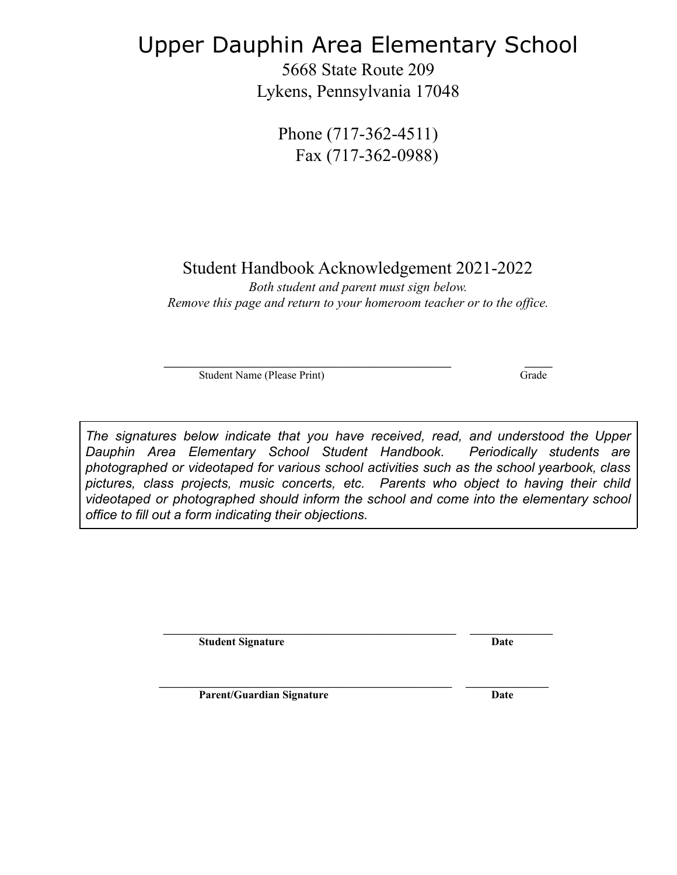# Upper Dauphin Area Elementary School

5668 State Route 209 Lykens, Pennsylvania 17048

Phone (717-362-4511) Fax (717-362-0988)

Student Handbook Acknowledgement 2021-2022

*Both student and parent must sign below. Remove this page and return to your homeroom teacher or to the office.*

Student Name (Please Print) Grade

**\_\_\_\_\_\_\_\_\_\_\_\_\_\_\_\_\_\_\_\_\_\_\_\_\_\_\_\_\_\_\_\_\_\_\_\_\_\_\_\_\_\_\_\_\_\_\_\_\_\_\_\_ \_\_\_\_\_**

*The signatures below indicate that you have received, read, and understood the Upper Dauphin Area Elementary School Student Handbook. Periodically students are photographed or videotaped for various school activities such as the school yearbook, class pictures, class projects, music concerts, etc. Parents who object to having their child videotaped or photographed should inform the school and come into the elementary school office to fill out a form indicating their objections.*

**\_\_\_\_\_\_\_\_\_\_\_\_\_\_\_\_\_\_\_\_\_\_\_\_\_\_\_\_\_\_\_\_\_\_\_\_\_\_\_\_\_\_\_\_\_\_\_\_\_\_\_\_\_ \_\_\_\_\_\_\_\_\_\_\_\_\_\_\_**

**\_\_\_\_\_\_\_\_\_\_\_\_\_\_\_\_\_\_\_\_\_\_\_\_\_\_\_\_\_\_\_\_\_\_\_\_\_\_\_\_\_\_\_\_\_\_\_\_\_\_\_\_\_ \_\_\_\_\_\_\_\_\_\_\_\_\_\_\_**

**Student Signature Date**

**Parent/Guardian Signature Date**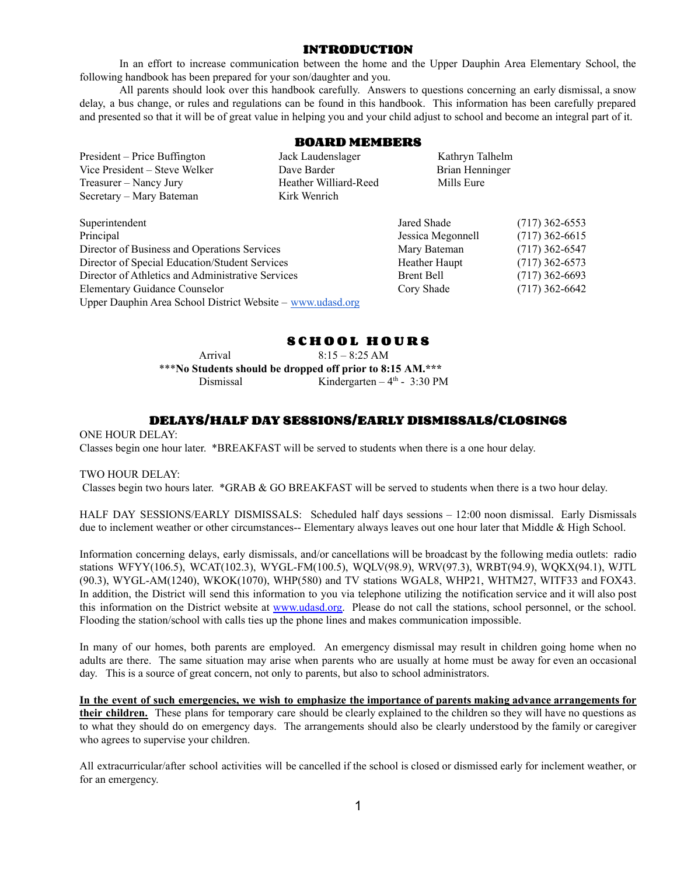#### **INTRODUCTION**

In an effort to increase communication between the home and the Upper Dauphin Area Elementary School, the following handbook has been prepared for your son/daughter and you.

All parents should look over this handbook carefully. Answers to questions concerning an early dismissal, a snow delay, a bus change, or rules and regulations can be found in this handbook. This information has been carefully prepared and presented so that it will be of great value in helping you and your child adjust to school and become an integral part of it.

#### **BOARD MEMBERS**

President – Price Buffington Jack Laudenslager Kathryn Talhelm Vice President – Steve Welker Dave Barder Brian Henninger Treasurer – Nancy Jury Heather Williard-Reed Mills Eure Secretary – Mary Bateman Kirk Wenrich

| Superintendent                                                                                                                                                                                                                                            | Jared Shade                                                      | $(717)$ 362-6553                                                             |
|-----------------------------------------------------------------------------------------------------------------------------------------------------------------------------------------------------------------------------------------------------------|------------------------------------------------------------------|------------------------------------------------------------------------------|
| Principal                                                                                                                                                                                                                                                 | Jessica Megonnell                                                | $(717)$ 362-6615                                                             |
|                                                                                                                                                                                                                                                           |                                                                  |                                                                              |
|                                                                                                                                                                                                                                                           |                                                                  |                                                                              |
|                                                                                                                                                                                                                                                           |                                                                  |                                                                              |
|                                                                                                                                                                                                                                                           |                                                                  |                                                                              |
|                                                                                                                                                                                                                                                           |                                                                  |                                                                              |
|                                                                                                                                                                                                                                                           |                                                                  |                                                                              |
| Director of Business and Operations Services<br>Director of Special Education/Student Services<br>Director of Athletics and Administrative Services<br><b>Elementary Guidance Counselor</b><br>Upper Dauphin Area School District Website – www.udasd.org | Mary Bateman<br>Heather Haupt<br><b>Brent Bell</b><br>Cory Shade | $(717)$ 362-6547<br>$(717)$ 362-6573<br>$(717)$ 362-6693<br>$(717)$ 362-6642 |

# **S C H O O L H O U R S**

Arrival 8:15 – 8:25 AM \*\*\***No Students should be dropped off prior to 8:15 AM.\*\*\*** Dismissal Kindergarten – 4<sup>th</sup> - 3:30 PM

# **DELAYS/HALF DAY SESSIONS/EARLY DISMISSALS/CLOSINGS**

ONE HOUR DELAY: Classes begin one hour later. \*BREAKFAST will be served to students when there is a one hour delay.

#### TWO HOUR DELAY:

Classes begin two hours later. \*GRAB & GO BREAKFAST will be served to students when there is a two hour delay.

HALF DAY SESSIONS/EARLY DISMISSALS: Scheduled half days sessions – 12:00 noon dismissal. Early Dismissals due to inclement weather or other circumstances-- Elementary always leaves out one hour later that Middle & High School.

Information concerning delays, early dismissals, and/or cancellations will be broadcast by the following media outlets: radio stations WFYY(106.5), WCAT(102.3), WYGL-FM(100.5), WQLV(98.9), WRV(97.3), WRBT(94.9), WQKX(94.1), WJTL (90.3), WYGL-AM(1240), WKOK(1070), WHP(580) and TV stations WGAL8, WHP21, WHTM27, WITF33 and FOX43. In addition, the District will send this information to you via telephone utilizing the notification service and it will also post this information on the District website at [www.udasd.org.](http://www.udasd.org) Please do not call the stations, school personnel, or the school. Flooding the station/school with calls ties up the phone lines and makes communication impossible.

In many of our homes, both parents are employed. An emergency dismissal may result in children going home when no adults are there. The same situation may arise when parents who are usually at home must be away for even an occasional day. This is a source of great concern, not only to parents, but also to school administrators.

In the event of such emergencies, we wish to emphasize the importance of parents making advance arrangements for **their children.** These plans for temporary care should be clearly explained to the children so they will have no questions as to what they should do on emergency days. The arrangements should also be clearly understood by the family or caregiver who agrees to supervise your children.

All extracurricular/after school activities will be cancelled if the school is closed or dismissed early for inclement weather, or for an emergency.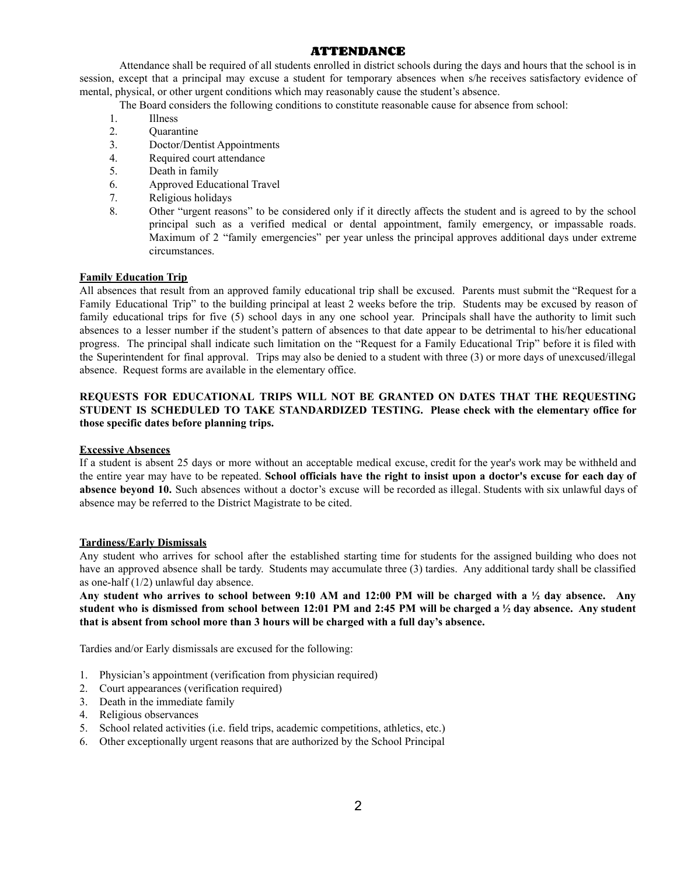# **ATTENDANCE**

Attendance shall be required of all students enrolled in district schools during the days and hours that the school is in session, except that a principal may excuse a student for temporary absences when s/he receives satisfactory evidence of mental, physical, or other urgent conditions which may reasonably cause the student's absence.

- The Board considers the following conditions to constitute reasonable cause for absence from school:
- 1. Illness
- 2. Quarantine
- 3. Doctor/Dentist Appointments
- 4. Required court attendance
- 5. Death in family
- 6. Approved Educational Travel
- 7. Religious holidays
- 8. Other "urgent reasons" to be considered only if it directly affects the student and is agreed to by the school principal such as a verified medical or dental appointment, family emergency, or impassable roads. Maximum of 2 "family emergencies" per year unless the principal approves additional days under extreme circumstances.

#### **Family Education Trip**

All absences that result from an approved family educational trip shall be excused. Parents must submit the "Request for a Family Educational Trip" to the building principal at least 2 weeks before the trip. Students may be excused by reason of family educational trips for five (5) school days in any one school year. Principals shall have the authority to limit such absences to a lesser number if the student's pattern of absences to that date appear to be detrimental to his/her educational progress. The principal shall indicate such limitation on the "Request for a Family Educational Trip" before it is filed with the Superintendent for final approval. Trips may also be denied to a student with three (3) or more days of unexcused/illegal absence. Request forms are available in the elementary office.

## **REQUESTS FOR EDUCATIONAL TRIPS WILL NOT BE GRANTED ON DATES THAT THE REQUESTING STUDENT IS SCHEDULED TO TAKE STANDARDIZED TESTING. Please check with the elementary office for those specific dates before planning trips.**

#### **Excessive Absences**

If a student is absent 25 days or more without an acceptable medical excuse, credit for the year's work may be withheld and the entire year may have to be repeated. School officials have the right to insist upon a doctor's excuse for each day of **absence beyond 10.** Such absences without a doctor's excuse will be recorded as illegal. Students with six unlawful days of absence may be referred to the District Magistrate to be cited.

#### **Tardiness/Early Dismissals**

Any student who arrives for school after the established starting time for students for the assigned building who does not have an approved absence shall be tardy. Students may accumulate three (3) tardies. Any additional tardy shall be classified as one-half (1/2) unlawful day absence.

Any student who arrives to school between 9:10 AM and 12:00 PM will be charged with a  $\frac{1}{2}$  day absence. Any student who is dismissed from school between 12:01 PM and 2:45 PM will be charged a  $\frac{1}{2}$  day absence. Any student **that is absent from school more than 3 hours will be charged with a full day's absence.**

Tardies and/or Early dismissals are excused for the following:

- 1. Physician's appointment (verification from physician required)
- 2. Court appearances (verification required)
- 3. Death in the immediate family
- 4. Religious observances
- 5. School related activities (i.e. field trips, academic competitions, athletics, etc.)
- 6. Other exceptionally urgent reasons that are authorized by the School Principal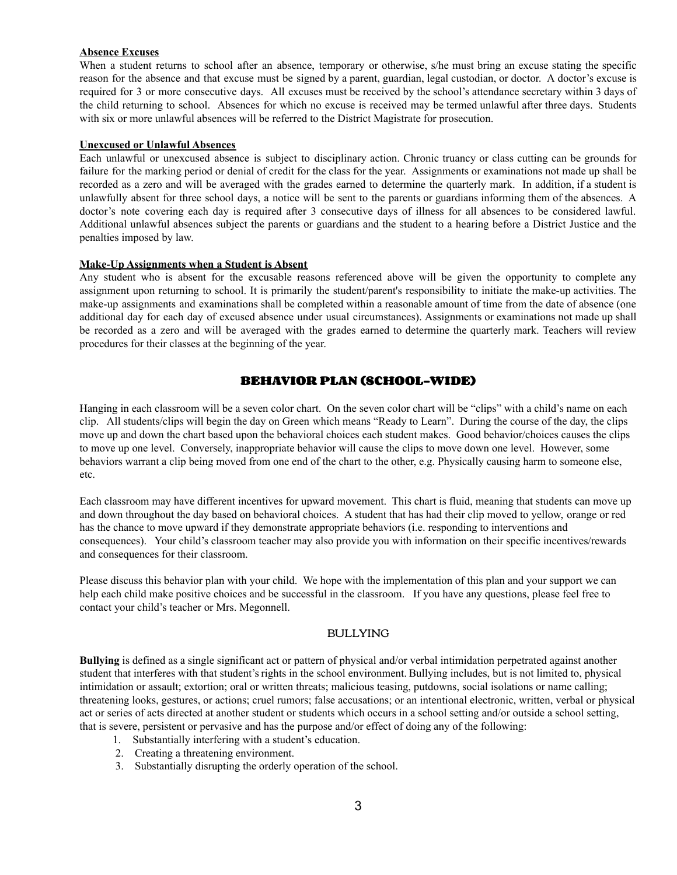#### **Absence Excuses**

When a student returns to school after an absence, temporary or otherwise, s/he must bring an excuse stating the specific reason for the absence and that excuse must be signed by a parent, guardian, legal custodian, or doctor. A doctor's excuse is required for 3 or more consecutive days. All excuses must be received by the school's attendance secretary within 3 days of the child returning to school. Absences for which no excuse is received may be termed unlawful after three days. Students with six or more unlawful absences will be referred to the District Magistrate for prosecution.

#### **Unexcused or Unlawful Absences**

Each unlawful or unexcused absence is subject to disciplinary action. Chronic truancy or class cutting can be grounds for failure for the marking period or denial of credit for the class for the year. Assignments or examinations not made up shall be recorded as a zero and will be averaged with the grades earned to determine the quarterly mark. In addition, if a student is unlawfully absent for three school days, a notice will be sent to the parents or guardians informing them of the absences. A doctor's note covering each day is required after 3 consecutive days of illness for all absences to be considered lawful. Additional unlawful absences subject the parents or guardians and the student to a hearing before a District Justice and the penalties imposed by law.

#### **Make-Up Assignments when a Student is Absent**

Any student who is absent for the excusable reasons referenced above will be given the opportunity to complete any assignment upon returning to school. It is primarily the student/parent's responsibility to initiate the make-up activities. The make-up assignments and examinations shall be completed within a reasonable amount of time from the date of absence (one additional day for each day of excused absence under usual circumstances). Assignments or examinations not made up shall be recorded as a zero and will be averaged with the grades earned to determine the quarterly mark. Teachers will review procedures for their classes at the beginning of the year.

# **BEHAVIOR PLAN (SCHOOL-WIDE)**

Hanging in each classroom will be a seven color chart. On the seven color chart will be "clips" with a child's name on each clip. All students/clips will begin the day on Green which means "Ready to Learn". During the course of the day, the clips move up and down the chart based upon the behavioral choices each student makes. Good behavior/choices causes the clips to move up one level. Conversely, inappropriate behavior will cause the clips to move down one level. However, some behaviors warrant a clip being moved from one end of the chart to the other, e.g. Physically causing harm to someone else, etc.

Each classroom may have different incentives for upward movement. This chart is fluid, meaning that students can move up and down throughout the day based on behavioral choices. A student that has had their clip moved to yellow, orange or red has the chance to move upward if they demonstrate appropriate behaviors (i.e. responding to interventions and consequences). Your child's classroom teacher may also provide you with information on their specific incentives/rewards and consequences for their classroom.

Please discuss this behavior plan with your child. We hope with the implementation of this plan and your support we can help each child make positive choices and be successful in the classroom. If you have any questions, please feel free to contact your child's teacher or Mrs. Megonnell.

#### BULLYING

**Bullying** is defined as a single significant act or pattern of physical and/or verbal intimidation perpetrated against another student that interferes with that student'srights in the school environment. Bullying includes, but is not limited to, physical intimidation or assault; extortion; oral or written threats; malicious teasing, putdowns, social isolations or name calling; threatening looks, gestures, or actions; cruel rumors; false accusations; or an intentional electronic, written, verbal or physical act or series of acts directed at another student or students which occurs in a school setting and/or outside a school setting, that is severe, persistent or pervasive and has the purpose and/or effect of doing any of the following:

- 1. Substantially interfering with a student's education.
- 2. Creating a threatening environment.
- 3. Substantially disrupting the orderly operation of the school.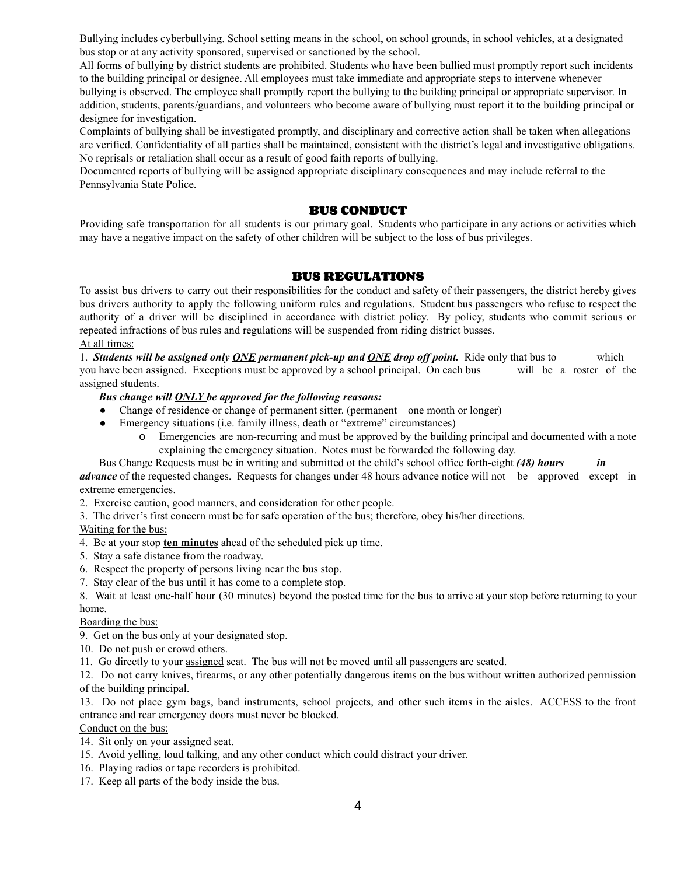Bullying includes cyberbullying. School setting means in the school, on school grounds, in school vehicles, at a designated bus stop or at any activity sponsored, supervised or sanctioned by the school.

All forms of bullying by district students are prohibited. Students who have been bullied must promptly report such incidents to the building principal or designee. All employees must take immediate and appropriate steps to intervene whenever bullying is observed. The employee shall promptly report the bullying to the building principal or appropriate supervisor. In addition, students, parents/guardians, and volunteers who become aware of bullying must report it to the building principal or designee for investigation.

Complaints of bullying shall be investigated promptly, and disciplinary and corrective action shall be taken when allegations are verified. Confidentiality of all parties shall be maintained, consistent with the district's legal and investigative obligations. No reprisals or retaliation shall occur as a result of good faith reports of bullying.

Documented reports of bullying will be assigned appropriate disciplinary consequences and may include referral to the Pennsylvania State Police.

#### **BUS CONDUCT**

Providing safe transportation for all students is our primary goal. Students who participate in any actions or activities which may have a negative impact on the safety of other children will be subject to the loss of bus privileges.

#### **BUS REGULATIONS**

To assist bus drivers to carry out their responsibilities for the conduct and safety of their passengers, the district hereby gives bus drivers authority to apply the following uniform rules and regulations. Student bus passengers who refuse to respect the authority of a driver will be disciplined in accordance with district policy. By policy, students who commit serious or repeated infractions of bus rules and regulations will be suspended from riding district busses. At all times:

1. *Students will be assigned only ONE permanent pick-up and ONE drop of point.* Ride only that bus to which you have been assigned. Exceptions must be approved by a school principal. On each bus will be a roster of the assigned students.

#### *Bus change will ONLY be approved for the following reasons:*

- Change of residence or change of permanent sitter. (permanent one month or longer)
- Emergency situations (i.e. family illness, death or "extreme" circumstances)
	- o Emergencies are non-recurring and must be approved by the building principal and documented with a note explaining the emergency situation. Notes must be forwarded the following day.

Bus Change Requests must be in writing and submitted ot the child's school office forth-eight *(48) hours in advance* of the requested changes. Requests for changes under 48 hours advance notice will not be approved except in extreme emergencies.

2. Exercise caution, good manners, and consideration for other people.

3. The driver's first concern must be for safe operation of the bus; therefore, obey his/her directions.

Waiting for the bus:

4. Be at your stop **ten minutes** ahead of the scheduled pick up time.

- 5. Stay a safe distance from the roadway.
- 6. Respect the property of persons living near the bus stop.
- 7. Stay clear of the bus until it has come to a complete stop.

8. Wait at least one-half hour (30 minutes) beyond the posted time for the bus to arrive at your stop before returning to your home.

Boarding the bus:

9. Get on the bus only at your designated stop.

10. Do not push or crowd others.

11. Go directly to your assigned seat. The bus will not be moved until all passengers are seated.

12. Do not carry knives, firearms, or any other potentially dangerous items on the bus without written authorized permission of the building principal.

13. Do not place gym bags, band instruments, school projects, and other such items in the aisles. ACCESS to the front entrance and rear emergency doors must never be blocked.

Conduct on the bus:

14. Sit only on your assigned seat.

- 15. Avoid yelling, loud talking, and any other conduct which could distract your driver.
- 16. Playing radios or tape recorders is prohibited.
- 17. Keep all parts of the body inside the bus.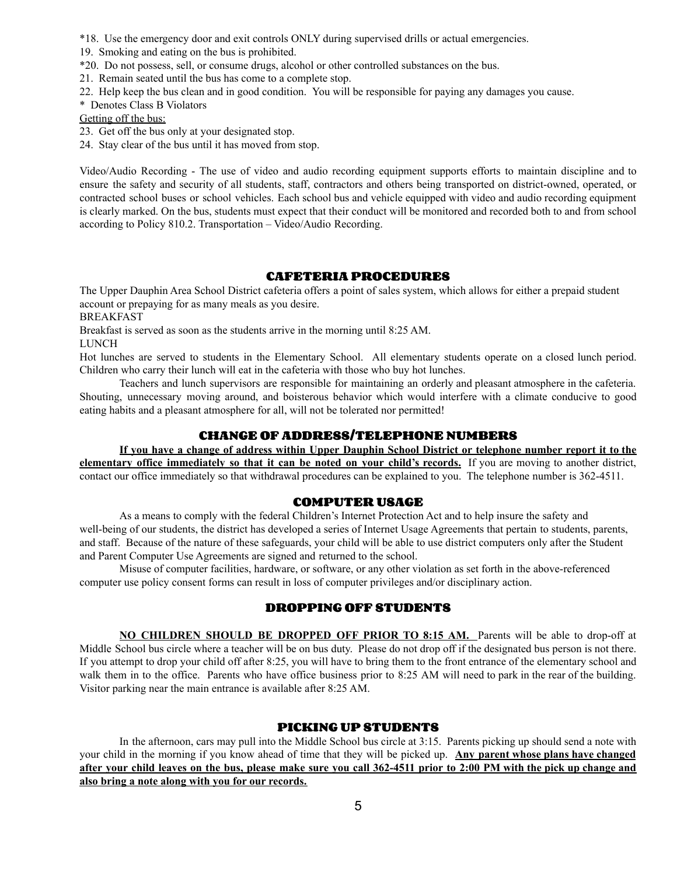\*18. Use the emergency door and exit controls ONLY during supervised drills or actual emergencies.

19. Smoking and eating on the bus is prohibited.

- \*20. Do not possess, sell, or consume drugs, alcohol or other controlled substances on the bus.
- 21. Remain seated until the bus has come to a complete stop.
- 22. Help keep the bus clean and in good condition. You will be responsible for paying any damages you cause.

\* Denotes Class B Violators

Getting off the bus:

- 23. Get off the bus only at your designated stop.
- 24. Stay clear of the bus until it has moved from stop.

Video/Audio Recording - The use of video and audio recording equipment supports efforts to maintain discipline and to ensure the safety and security of all students, staff, contractors and others being transported on district-owned, operated, or contracted school buses or school vehicles. Each school bus and vehicle equipped with video and audio recording equipment is clearly marked. On the bus, students must expect that their conduct will be monitored and recorded both to and from school according to Policy 810.2. Transportation – Video/Audio Recording.

# **CAFETERIA PROCEDURES**

The Upper Dauphin Area School District cafeteria offers a point of sales system, which allows for either a prepaid student account or prepaying for as many meals as you desire.

BREAKFAST

Breakfast is served as soon as the students arrive in the morning until 8:25 AM.

LUNCH

Hot lunches are served to students in the Elementary School. All elementary students operate on a closed lunch period. Children who carry their lunch will eat in the cafeteria with those who buy hot lunches.

Teachers and lunch supervisors are responsible for maintaining an orderly and pleasant atmosphere in the cafeteria. Shouting, unnecessary moving around, and boisterous behavior which would interfere with a climate conducive to good eating habits and a pleasant atmosphere for all, will not be tolerated nor permitted!

# **CHANGE OF ADDRESS/TELEPHONE NUMBERS**

If you have a change of address within Upper Dauphin School District or telephone number report it to the **elementary office immediately so that it can be noted on your child's records.** If you are moving to another district, contact our office immediately so that withdrawal procedures can be explained to you. The telephone number is 362-4511.

# **COMPUTER USAGE**

As a means to comply with the federal Children's Internet Protection Act and to help insure the safety and well-being of our students, the district has developed a series of Internet Usage Agreements that pertain to students, parents, and staff. Because of the nature of these safeguards, your child will be able to use district computers only after the Student and Parent Computer Use Agreements are signed and returned to the school.

Misuse of computer facilities, hardware, or software, or any other violation as set forth in the above-referenced computer use policy consent forms can result in loss of computer privileges and/or disciplinary action.

# **DROPPING OFF STUDENTS**

**NO CHILDREN SHOULD BE DROPPED OFF PRIOR TO 8:15 AM.** Parents will be able to drop-off at Middle School bus circle where a teacher will be on bus duty. Please do not drop off if the designated bus person is not there. If you attempt to drop your child off after 8:25, you will have to bring them to the front entrance of the elementary school and walk them in to the office. Parents who have office business prior to 8:25 AM will need to park in the rear of the building. Visitor parking near the main entrance is available after 8:25 AM.

# **PICKING UP STUDENTS**

In the afternoon, cars may pull into the Middle School bus circle at 3:15. Parents picking up should send a note with your child in the morning if you know ahead of time that they will be picked up. **Any parent whose plans have changed** after your child leaves on the bus, please make sure you call 362-4511 prior to 2:00 PM with the pick up change and **also bring a note along with you for our records.**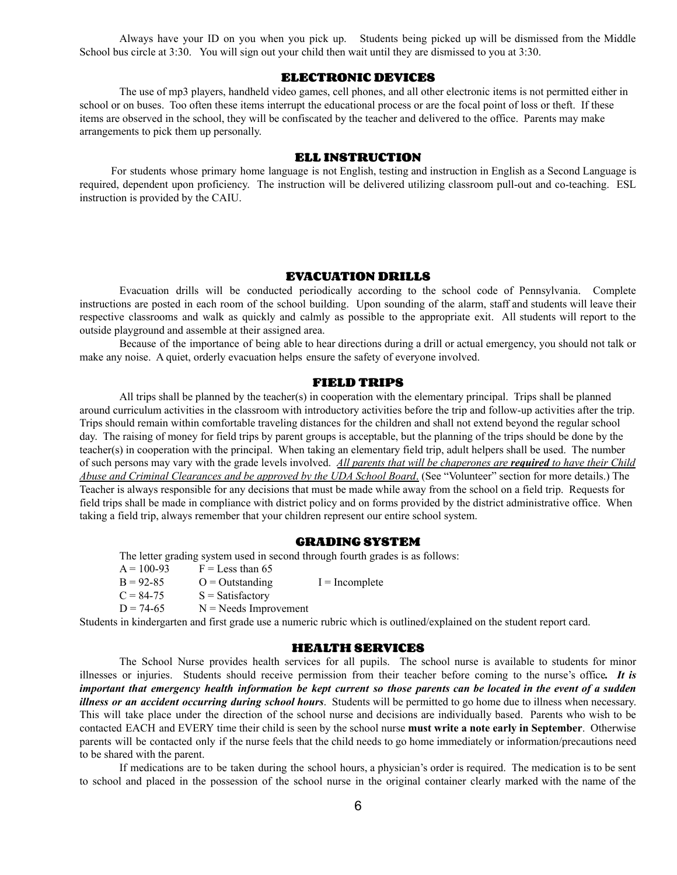Always have your ID on you when you pick up. Students being picked up will be dismissed from the Middle School bus circle at 3:30. You will sign out your child then wait until they are dismissed to you at 3:30.

#### **ELECTRONIC DEVICES**

The use of mp3 players, handheld video games, cell phones, and all other electronic items is not permitted either in school or on buses. Too often these items interrupt the educational process or are the focal point of loss or theft. If these items are observed in the school, they will be confiscated by the teacher and delivered to the office. Parents may make arrangements to pick them up personally.

#### **ELL INSTRUCTION**

For students whose primary home language is not English, testing and instruction in English as a Second Language is required, dependent upon proficiency. The instruction will be delivered utilizing classroom pull-out and co-teaching. ESL instruction is provided by the CAIU.

#### **EVACUATION DRILLS**

Evacuation drills will be conducted periodically according to the school code of Pennsylvania. Complete instructions are posted in each room of the school building. Upon sounding of the alarm, staff and students will leave their respective classrooms and walk as quickly and calmly as possible to the appropriate exit. All students will report to the outside playground and assemble at their assigned area.

Because of the importance of being able to hear directions during a drill or actual emergency, you should not talk or make any noise. A quiet, orderly evacuation helps ensure the safety of everyone involved.

#### **FIELD TRIPS**

All trips shall be planned by the teacher(s) in cooperation with the elementary principal. Trips shall be planned around curriculum activities in the classroom with introductory activities before the trip and follow-up activities after the trip. Trips should remain within comfortable traveling distances for the children and shall not extend beyond the regular school day. The raising of money for field trips by parent groups is acceptable, but the planning of the trips should be done by the teacher(s) in cooperation with the principal. When taking an elementary field trip, adult helpers shall be used. The number of such persons may vary with the grade levels involved. *All parents that will be chaperones are required to have their Child Abuse and Criminal Clearances and be approved by the UDA School Board*. (See "Volunteer" section for more details.) The Teacher is always responsible for any decisions that must be made while away from the school on a field trip. Requests for field trips shall be made in compliance with district policy and on forms provided by the district administrative office. When taking a field trip, always remember that your children represent our entire school system.

#### **GRADING SYSTEM**

The letter grading system used in second through fourth grades is as follows:

| $A = 100-93$ | $F =$ Less than 65       |                  |
|--------------|--------------------------|------------------|
| $B = 92-85$  | $Q =$ Outstanding        | $I = Incomplete$ |
| $C = 84-75$  | $S = Satisfactory$       |                  |
| $D = 74-65$  | $N = N$ eeds Improvement |                  |

Students in kindergarten and first grade use a numeric rubric which is outlined/explained on the student report card.

#### **HEALTH SERVICES**

The School Nurse provides health services for all pupils. The school nurse is available to students for minor illnesses or injuries. Students should receive permission from their teacher before coming to the nurse's office*. It is* important that emergency health information be kept current so those parents can be located in the event of a sudden *illness or an accident occurring during school hours*. Students will be permitted to go home due to illness when necessary. This will take place under the direction of the school nurse and decisions are individually based. Parents who wish to be contacted EACH and EVERY time their child is seen by the school nurse **must write a note early in September**. Otherwise parents will be contacted only if the nurse feels that the child needs to go home immediately or information/precautions need to be shared with the parent.

If medications are to be taken during the school hours, a physician's order is required. The medication is to be sent to school and placed in the possession of the school nurse in the original container clearly marked with the name of the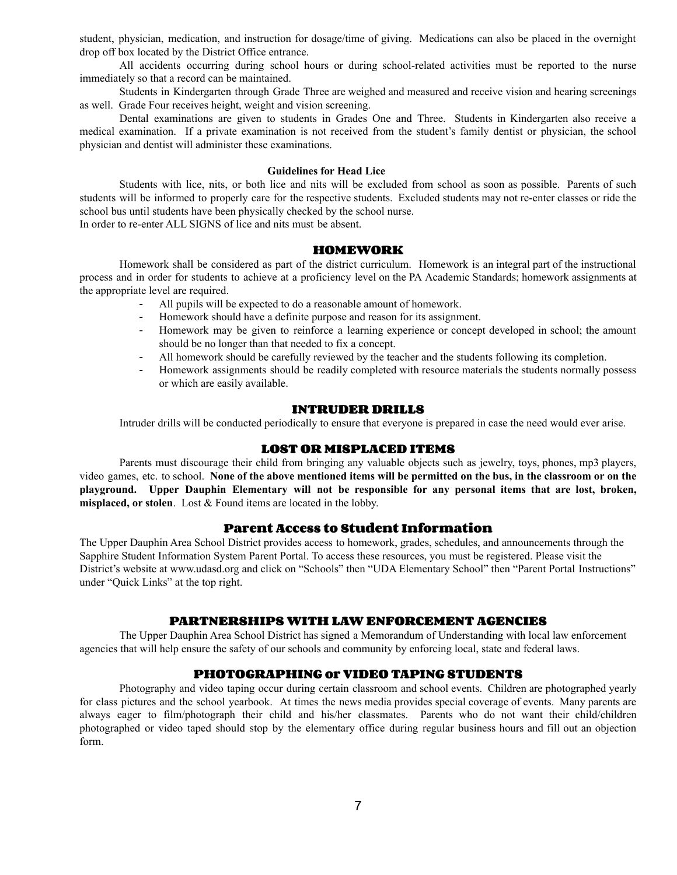student, physician, medication, and instruction for dosage/time of giving. Medications can also be placed in the overnight drop off box located by the District Office entrance.

All accidents occurring during school hours or during school-related activities must be reported to the nurse immediately so that a record can be maintained.

Students in Kindergarten through Grade Three are weighed and measured and receive vision and hearing screenings as well. Grade Four receives height, weight and vision screening.

Dental examinations are given to students in Grades One and Three. Students in Kindergarten also receive a medical examination. If a private examination is not received from the student's family dentist or physician, the school physician and dentist will administer these examinations.

#### **Guidelines for Head Lice**

Students with lice, nits, or both lice and nits will be excluded from school as soon as possible. Parents of such students will be informed to properly care for the respective students. Excluded students may not re-enter classes or ride the school bus until students have been physically checked by the school nurse. In order to re-enter ALL SIGNS of lice and nits must be absent.

#### **HOMEWORK**

Homework shall be considered as part of the district curriculum. Homework is an integral part of the instructional process and in order for students to achieve at a proficiency level on the PA Academic Standards; homework assignments at the appropriate level are required.

- All pupils will be expected to do a reasonable amount of homework.
- Homework should have a definite purpose and reason for its assignment.
- Homework may be given to reinforce a learning experience or concept developed in school; the amount should be no longer than that needed to fix a concept.
- All homework should be carefully reviewed by the teacher and the students following its completion.
- Homework assignments should be readily completed with resource materials the students normally possess or which are easily available.

#### **INTRUDER DRILLS**

Intruder drills will be conducted periodically to ensure that everyone is prepared in case the need would ever arise.

#### **LOST OR MISPLACED ITEMS**

Parents must discourage their child from bringing any valuable objects such as jewelry, toys, phones, mp3 players, video games, etc. to school. None of the above mentioned items will be permitted on the bus, in the classroom or on the **playground. Upper Dauphin Elementary will not be responsible for any personal items that are lost, broken, misplaced, or stolen**. Lost & Found items are located in the lobby.

# **Parent Access to Student Information**

The Upper Dauphin Area School District provides access to homework, grades, schedules, and announcements through the Sapphire Student Information System Parent Portal. To access these resources, you must be registered. Please visit the District's website at [www.udasd.org](http://www.udasd.org) and click on "Schools" then "UDA Elementary School" then "Parent Portal Instructions" under "Quick Links" at the top right.

#### **PARTNERSHIPS WITH LAW ENFORCEMENT AGENCIES**

The Upper Dauphin Area School District has signed a Memorandum of Understanding with local law enforcement agencies that will help ensure the safety of our schools and community by enforcing local, state and federal laws.

#### **PHOTOGRAPHING or VIDEO TAPING STUDENTS**

Photography and video taping occur during certain classroom and school events. Children are photographed yearly for class pictures and the school yearbook. At times the news media provides special coverage of events. Many parents are always eager to film/photograph their child and his/her classmates. Parents who do not want their child/children photographed or video taped should stop by the elementary office during regular business hours and fill out an objection form.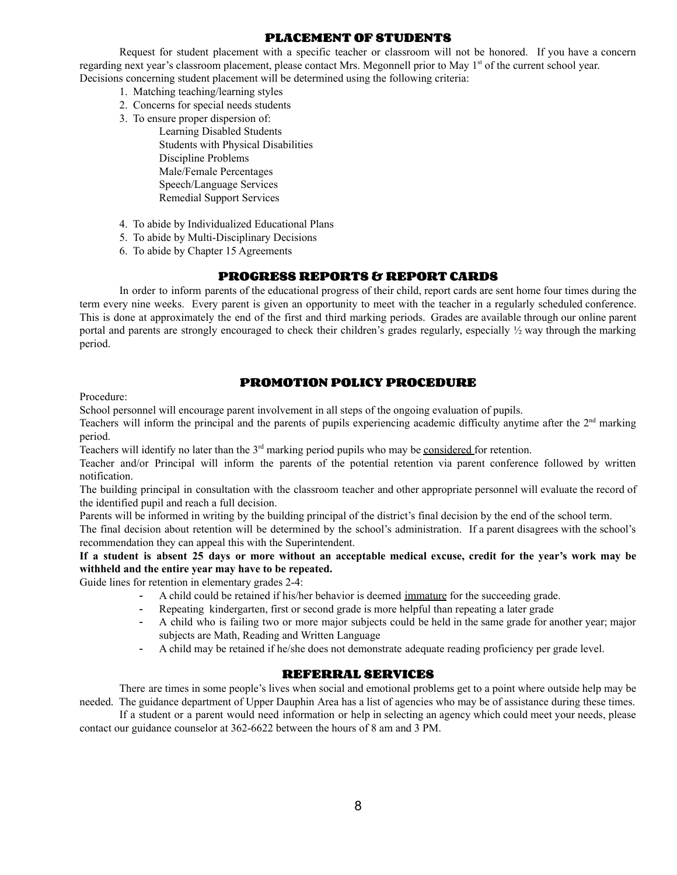# **PLACEMENT OF STUDENTS**

Request for student placement with a specific teacher or classroom will not be honored. If you have a concern regarding next year's classroom placement, please contact Mrs. Megonnell prior to May 1<sup>st</sup> of the current school year. Decisions concerning student placement will be determined using the following criteria:

- 1. Matching teaching/learning styles
- 2. Concerns for special needs students
- 3. To ensure proper dispersion of: Learning Disabled Students Students with Physical Disabilities Discipline Problems Male/Female Percentages Speech/Language Services Remedial Support Services
- 4. To abide by Individualized Educational Plans
- 5. To abide by Multi-Disciplinary Decisions
- 6. To abide by Chapter 15 Agreements

# **PROGRESS REPORTS & REPORT CARDS**

In order to inform parents of the educational progress of their child, report cards are sent home four times during the term every nine weeks. Every parent is given an opportunity to meet with the teacher in a regularly scheduled conference. This is done at approximately the end of the first and third marking periods. Grades are available through our online parent portal and parents are strongly encouraged to check their children's grades regularly, especially ½ way through the marking period.

# **PROMOTION POLICY PROCEDURE**

Procedure:

School personnel will encourage parent involvement in all steps of the ongoing evaluation of pupils.

Teachers will inform the principal and the parents of pupils experiencing academic difficulty anytime after the  $2<sup>nd</sup>$  marking period.

Teachers will identify no later than the 3<sup>rd</sup> marking period pupils who may be considered for retention.

Teacher and/or Principal will inform the parents of the potential retention via parent conference followed by written notification.

The building principal in consultation with the classroom teacher and other appropriate personnel will evaluate the record of the identified pupil and reach a full decision.

Parents will be informed in writing by the building principal of the district's final decision by the end of the school term.

The final decision about retention will be determined by the school's administration. If a parent disagrees with the school's recommendation they can appeal this with the Superintendent.

If a student is absent 25 days or more without an acceptable medical excuse, credit for the year's work may be **withheld and the entire year may have to be repeated.**

Guide lines for retention in elementary grades 2-4:

- A child could be retained if his/her behavior is deemed immature for the succeeding grade.
- Repeating kindergarten, first or second grade is more helpful than repeating a later grade
- A child who is failing two or more major subjects could be held in the same grade for another year; major subjects are Math, Reading and Written Language
- A child may be retained if he/she does not demonstrate adequate reading proficiency per grade level.

# **REFERRAL SERVICES**

There are times in some people's lives when social and emotional problems get to a point where outside help may be needed. The guidance department of Upper Dauphin Area has a list of agencies who may be of assistance during these times.

If a student or a parent would need information or help in selecting an agency which could meet your needs, please contact our guidance counselor at 362-6622 between the hours of 8 am and 3 PM.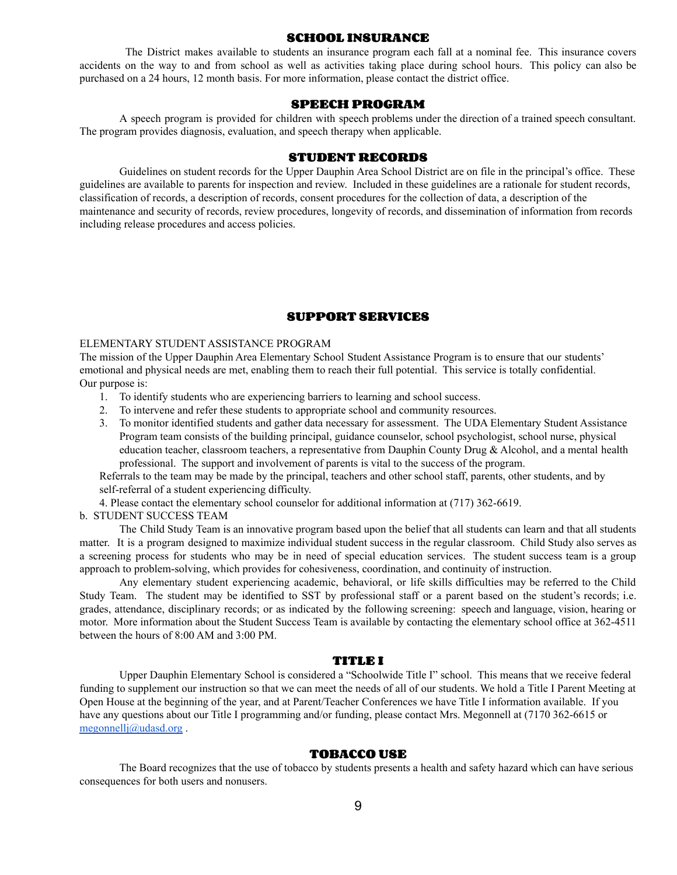#### **SCHOOL INSURANCE**

The District makes available to students an insurance program each fall at a nominal fee. This insurance covers accidents on the way to and from school as well as activities taking place during school hours. This policy can also be purchased on a 24 hours, 12 month basis. For more information, please contact the district office.

#### **SPEECH PROGRAM**

A speech program is provided for children with speech problems under the direction of a trained speech consultant. The program provides diagnosis, evaluation, and speech therapy when applicable.

### **STUDENT RECORDS**

Guidelines on student records for the Upper Dauphin Area School District are on file in the principal's office. These guidelines are available to parents for inspection and review. Included in these guidelines are a rationale for student records, classification of records, a description of records, consent procedures for the collection of data, a description of the maintenance and security of records, review procedures, longevity of records, and dissemination of information from records including release procedures and access policies.

# **SUPPORT SERVICES**

#### ELEMENTARY STUDENT ASSISTANCE PROGRAM

The mission of the Upper Dauphin Area Elementary School Student Assistance Program is to ensure that our students' emotional and physical needs are met, enabling them to reach their full potential. This service is totally confidential. Our purpose is:

- 1. To identify students who are experiencing barriers to learning and school success.
- 2. To intervene and refer these students to appropriate school and community resources.
- 3. To monitor identified students and gather data necessary for assessment. The UDA Elementary Student Assistance Program team consists of the building principal, guidance counselor, school psychologist, school nurse, physical education teacher, classroom teachers, a representative from Dauphin County Drug & Alcohol, and a mental health professional. The support and involvement of parents is vital to the success of the program.

Referrals to the team may be made by the principal, teachers and other school staff, parents, other students, and by self-referral of a student experiencing difficulty.

4. Please contact the elementary school counselor for additional information at (717) 362-6619.

#### b. STUDENT SUCCESS TEAM

The Child Study Team is an innovative program based upon the belief that all students can learn and that all students matter. It is a program designed to maximize individual student success in the regular classroom. Child Study also serves as a screening process for students who may be in need of special education services. The student success team is a group approach to problem-solving, which provides for cohesiveness, coordination, and continuity of instruction.

Any elementary student experiencing academic, behavioral, or life skills difficulties may be referred to the Child Study Team. The student may be identified to SST by professional staff or a parent based on the student's records; i.e. grades, attendance, disciplinary records; or as indicated by the following screening: speech and language, vision, hearing or motor. More information about the Student Success Team is available by contacting the elementary school office at 362-4511 between the hours of 8:00 AM and 3:00 PM.

#### **TITLE I**

Upper Dauphin Elementary School is considered a "Schoolwide Title I" school. This means that we receive federal funding to supplement our instruction so that we can meet the needs of all of our students. We hold a Title I Parent Meeting at Open House at the beginning of the year, and at Parent/Teacher Conferences we have Title I information available. If you have any questions about our Title I programming and/or funding, please contact Mrs. Megonnell at (7170 362-6615 or [megonnellj@udasd.org](mailto:megonnellj@udasd.org) .

#### **TOBACCO USE**

The Board recognizes that the use of tobacco by students presents a health and safety hazard which can have serious consequences for both users and nonusers.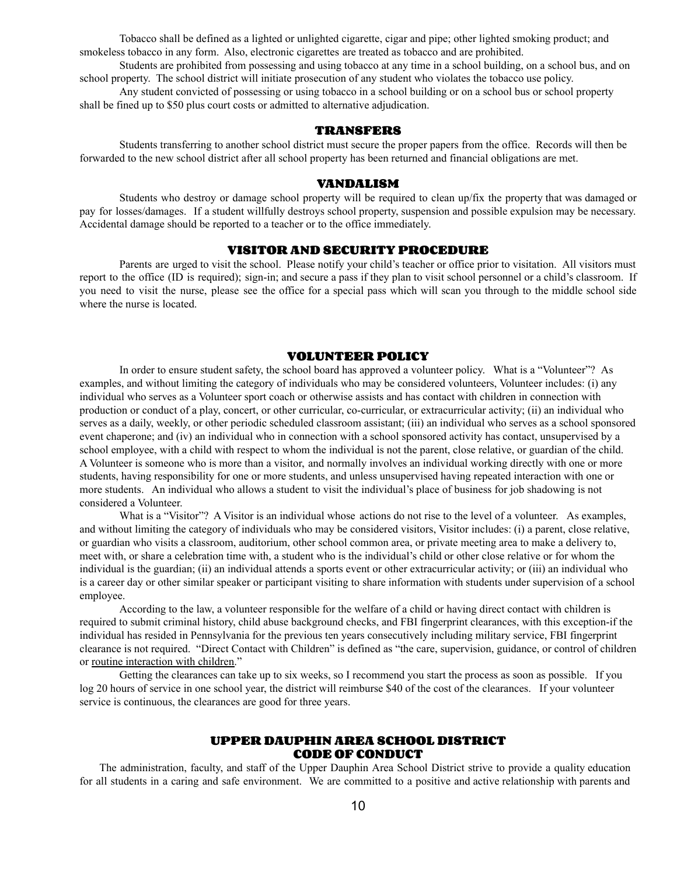Tobacco shall be defined as a lighted or unlighted cigarette, cigar and pipe; other lighted smoking product; and smokeless tobacco in any form. Also, electronic cigarettes are treated as tobacco and are prohibited.

Students are prohibited from possessing and using tobacco at any time in a school building, on a school bus, and on school property. The school district will initiate prosecution of any student who violates the tobacco use policy.

Any student convicted of possessing or using tobacco in a school building or on a school bus or school property shall be fined up to \$50 plus court costs or admitted to alternative adjudication.

#### **TRANSFERS**

Students transferring to another school district must secure the proper papers from the office. Records will then be forwarded to the new school district after all school property has been returned and financial obligations are met.

#### **VANDALISM**

Students who destroy or damage school property will be required to clean up/fix the property that was damaged or pay for losses/damages. If a student willfully destroys school property, suspension and possible expulsion may be necessary. Accidental damage should be reported to a teacher or to the office immediately.

#### **VISITOR AND SECURITY PROCEDURE**

Parents are urged to visit the school. Please notify your child's teacher or office prior to visitation. All visitors must report to the office (ID is required); sign-in; and secure a pass if they plan to visit school personnel or a child's classroom. If you need to visit the nurse, please see the office for a special pass which will scan you through to the middle school side where the nurse is located.

#### **VOLUNTEER POLICY**

In order to ensure student safety, the school board has approved a volunteer policy. What is a "Volunteer"? As examples, and without limiting the category of individuals who may be considered volunteers, Volunteer includes: (i) any individual who serves as a Volunteer sport coach or otherwise assists and has contact with children in connection with production or conduct of a play, concert, or other curricular, co-curricular, or extracurricular activity; (ii) an individual who serves as a daily, weekly, or other periodic scheduled classroom assistant; (iii) an individual who serves as a school sponsored event chaperone; and (iv) an individual who in connection with a school sponsored activity has contact, unsupervised by a school employee, with a child with respect to whom the individual is not the parent, close relative, or guardian of the child. A Volunteer is someone who is more than a visitor, and normally involves an individual working directly with one or more students, having responsibility for one or more students, and unless unsupervised having repeated interaction with one or more students. An individual who allows a student to visit the individual's place of business for job shadowing is not considered a Volunteer.

What is a "Visitor"? A Visitor is an individual whose actions do not rise to the level of a volunteer. As examples, and without limiting the category of individuals who may be considered visitors, Visitor includes: (i) a parent, close relative, or guardian who visits a classroom, auditorium, other school common area, or private meeting area to make a delivery to, meet with, or share a celebration time with, a student who is the individual's child or other close relative or for whom the individual is the guardian; (ii) an individual attends a sports event or other extracurricular activity; or (iii) an individual who is a career day or other similar speaker or participant visiting to share information with students under supervision of a school employee.

According to the law, a volunteer responsible for the welfare of a child or having direct contact with children is required to submit criminal history, child abuse background checks, and FBI fingerprint clearances, with this exception-if the individual has resided in Pennsylvania for the previous ten years consecutively including military service, FBI fingerprint clearance is not required. "Direct Contact with Children" is defined as "the care, supervision, guidance, or control of children or routine interaction with children."

Getting the clearances can take up to six weeks, so I recommend you start the process as soon as possible. If you log 20 hours of service in one school year, the district will reimburse \$40 of the cost of the clearances. If your volunteer service is continuous, the clearances are good for three years.

### **UPPER DAUPHIN AREA SCHOOL DISTRICT CODE OF CONDUCT**

The administration, faculty, and staff of the Upper Dauphin Area School District strive to provide a quality education for all students in a caring and safe environment. We are committed to a positive and active relationship with parents and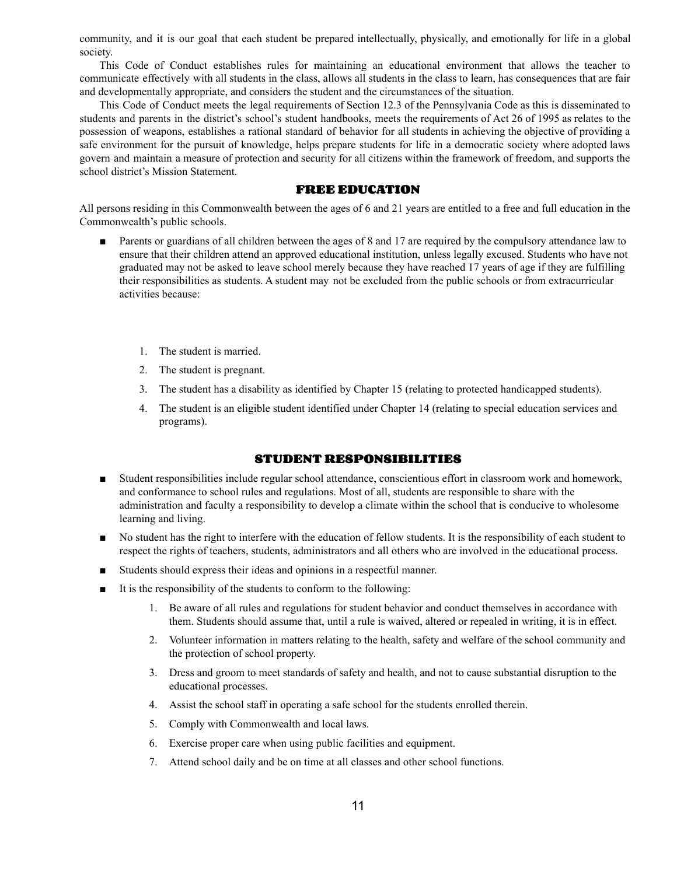community, and it is our goal that each student be prepared intellectually, physically, and emotionally for life in a global society.

This Code of Conduct establishes rules for maintaining an educational environment that allows the teacher to communicate effectively with all students in the class, allows all students in the class to learn, has consequences that are fair and developmentally appropriate, and considers the student and the circumstances of the situation.

This Code of Conduct meets the legal requirements of Section 12.3 of the Pennsylvania Code as this is disseminated to students and parents in the district's school's student handbooks, meets the requirements of Act 26 of 1995 as relates to the possession of weapons, establishes a rational standard of behavior for all students in achieving the objective of providing a safe environment for the pursuit of knowledge, helps prepare students for life in a democratic society where adopted laws govern and maintain a measure of protection and security for all citizens within the framework of freedom, and supports the school district's Mission Statement.

#### **FREE EDUCATION**

All persons residing in this Commonwealth between the ages of 6 and 21 years are entitled to a free and full education in the Commonwealth's public schools.

- Parents or guardians of all children between the ages of 8 and 17 are required by the compulsory attendance law to ensure that their children attend an approved educational institution, unless legally excused. Students who have not graduated may not be asked to leave school merely because they have reached 17 years of age if they are fulfilling their responsibilities as students. A student may not be excluded from the public schools or from extracurricular activities because:
	- 1. The student is married.
	- 2. The student is pregnant.
	- 3. The student has a disability as identified by Chapter 15 (relating to protected handicapped students).
	- 4. The student is an eligible student identified under Chapter 14 (relating to special education services and programs).

#### **STUDENT RESPONSIBILITIES**

- Student responsibilities include regular school attendance, conscientious effort in classroom work and homework, and conformance to school rules and regulations. Most of all, students are responsible to share with the administration and faculty a responsibility to develop a climate within the school that is conducive to wholesome learning and living.
- No student has the right to interfere with the education of fellow students. It is the responsibility of each student to respect the rights of teachers, students, administrators and all others who are involved in the educational process.
- Students should express their ideas and opinions in a respectful manner.
- It is the responsibility of the students to conform to the following:
	- 1. Be aware of all rules and regulations for student behavior and conduct themselves in accordance with them. Students should assume that, until a rule is waived, altered or repealed in writing, it is in effect.
	- 2. Volunteer information in matters relating to the health, safety and welfare of the school community and the protection of school property.
	- 3. Dress and groom to meet standards of safety and health, and not to cause substantial disruption to the educational processes.
	- 4. Assist the school staff in operating a safe school for the students enrolled therein.
	- 5. Comply with Commonwealth and local laws.
	- 6. Exercise proper care when using public facilities and equipment.
	- 7. Attend school daily and be on time at all classes and other school functions.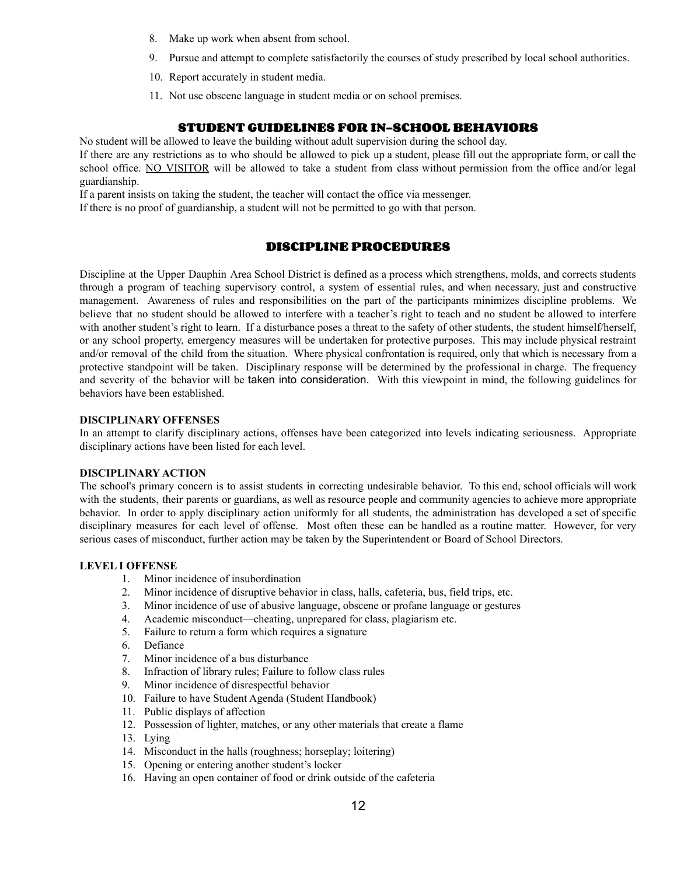- 8. Make up work when absent from school.
- 9. Pursue and attempt to complete satisfactorily the courses of study prescribed by local school authorities.
- 10. Report accurately in student media.
- 11. Not use obscene language in student media or on school premises.

# **STUDENT GUIDELINES FOR IN-SCHOOL BEHAVIORS**

No student will be allowed to leave the building without adult supervision during the school day.

If there are any restrictions as to who should be allowed to pick up a student, please fill out the appropriate form, or call the school office. NO VISITOR will be allowed to take a student from class without permission from the office and/or legal guardianship.

If a parent insists on taking the student, the teacher will contact the office via messenger.

If there is no proof of guardianship, a student will not be permitted to go with that person.

# **DISCIPLINE PROCEDURES**

Discipline at the Upper Dauphin Area School District is defined as a process which strengthens, molds, and corrects students through a program of teaching supervisory control, a system of essential rules, and when necessary, just and constructive management. Awareness of rules and responsibilities on the part of the participants minimizes discipline problems. We believe that no student should be allowed to interfere with a teacher's right to teach and no student be allowed to interfere with another student's right to learn. If a disturbance poses a threat to the safety of other students, the student himself/herself, or any school property, emergency measures will be undertaken for protective purposes. This may include physical restraint and/or removal of the child from the situation. Where physical confrontation is required, only that which is necessary from a protective standpoint will be taken. Disciplinary response will be determined by the professional in charge. The frequency and severity of the behavior will be taken into consideration. With this viewpoint in mind, the following guidelines for behaviors have been established.

#### **DISCIPLINARY OFFENSES**

In an attempt to clarify disciplinary actions, offenses have been categorized into levels indicating seriousness. Appropriate disciplinary actions have been listed for each level.

#### **DISCIPLINARY ACTION**

The school's primary concern is to assist students in correcting undesirable behavior. To this end, school officials will work with the students, their parents or guardians, as well as resource people and community agencies to achieve more appropriate behavior. In order to apply disciplinary action uniformly for all students, the administration has developed a set of specific disciplinary measures for each level of offense. Most often these can be handled as a routine matter. However, for very serious cases of misconduct, further action may be taken by the Superintendent or Board of School Directors.

#### **LEVEL I OFFENSE**

- 1. Minor incidence of insubordination
- 2. Minor incidence of disruptive behavior in class, halls, cafeteria, bus, field trips, etc.
- 3. Minor incidence of use of abusive language, obscene or profane language or gestures
- 4. Academic misconduct—cheating, unprepared for class, plagiarism etc.
- 5. Failure to return a form which requires a signature
- 6. Defiance
- 7. Minor incidence of a bus disturbance
- 8. Infraction of library rules; Failure to follow class rules
- 9. Minor incidence of disrespectful behavior
- 10. Failure to have Student Agenda (Student Handbook)
- 11. Public displays of affection
- 12. Possession of lighter, matches, or any other materials that create a flame
- 13. Lying
- 14. Misconduct in the halls (roughness; horseplay; loitering)
- 15. Opening or entering another student's locker
- 16. Having an open container of food or drink outside of the cafeteria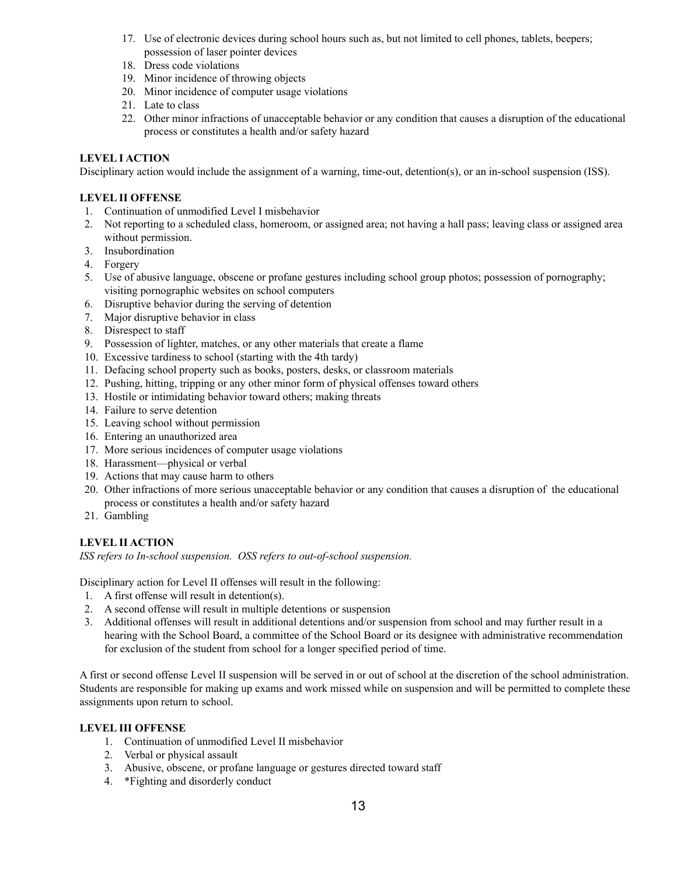- 17. Use of electronic devices during school hours such as, but not limited to cell phones, tablets, beepers; possession of laser pointer devices
- 18. Dress code violations
- 19. Minor incidence of throwing objects
- 20. Minor incidence of computer usage violations
- 21. Late to class
- 22. Other minor infractions of unacceptable behavior or any condition that causes a disruption of the educational process or constitutes a health and/or safety hazard

# **LEVEL I ACTION**

Disciplinary action would include the assignment of a warning, time-out, detention(s), or an in-school suspension (ISS).

## **LEVEL II OFFENSE**

- 1. Continuation of unmodified Level I misbehavior
- 2. Not reporting to a scheduled class, homeroom, or assigned area; not having a hall pass; leaving class or assigned area without permission.
- 3. Insubordination
- 4. Forgery
- 5. Use of abusive language, obscene or profane gestures including school group photos; possession of pornography; visiting pornographic websites on school computers
- 6. Disruptive behavior during the serving of detention
- 7. Major disruptive behavior in class
- 8. Disrespect to staff
- 9. Possession of lighter, matches, or any other materials that create a flame
- 10. Excessive tardiness to school (starting with the 4th tardy)
- 11. Defacing school property such as books, posters, desks, or classroom materials
- 12. Pushing, hitting, tripping or any other minor form of physical offenses toward others
- 13. Hostile or intimidating behavior toward others; making threats
- 14. Failure to serve detention
- 15. Leaving school without permission
- 16. Entering an unauthorized area
- 17. More serious incidences of computer usage violations
- 18. Harassment—physical or verbal
- 19. Actions that may cause harm to others
- 20. Other infractions of more serious unacceptable behavior or any condition that causes a disruption of the educational process or constitutes a health and/or safety hazard
- 21. Gambling

# **LEVEL II ACTION**

*ISS refers to In-school suspension. OSS refers to out-of-school suspension.*

Disciplinary action for Level II offenses will result in the following:

- 1. A first offense will result in detention(s).
- 2. A second offense will result in multiple detentions or suspension
- 3. Additional offenses will result in additional detentions and/or suspension from school and may further result in a hearing with the School Board, a committee of the School Board or its designee with administrative recommendation for exclusion of the student from school for a longer specified period of time.

A first or second offense Level II suspension will be served in or out of school at the discretion of the school administration. Students are responsible for making up exams and work missed while on suspension and will be permitted to complete these assignments upon return to school.

#### **LEVEL III OFFENSE**

- 1. Continuation of unmodified Level II misbehavior
- 2. Verbal or physical assault
- 3. Abusive, obscene, or profane language or gestures directed toward staff
- 4. \*Fighting and disorderly conduct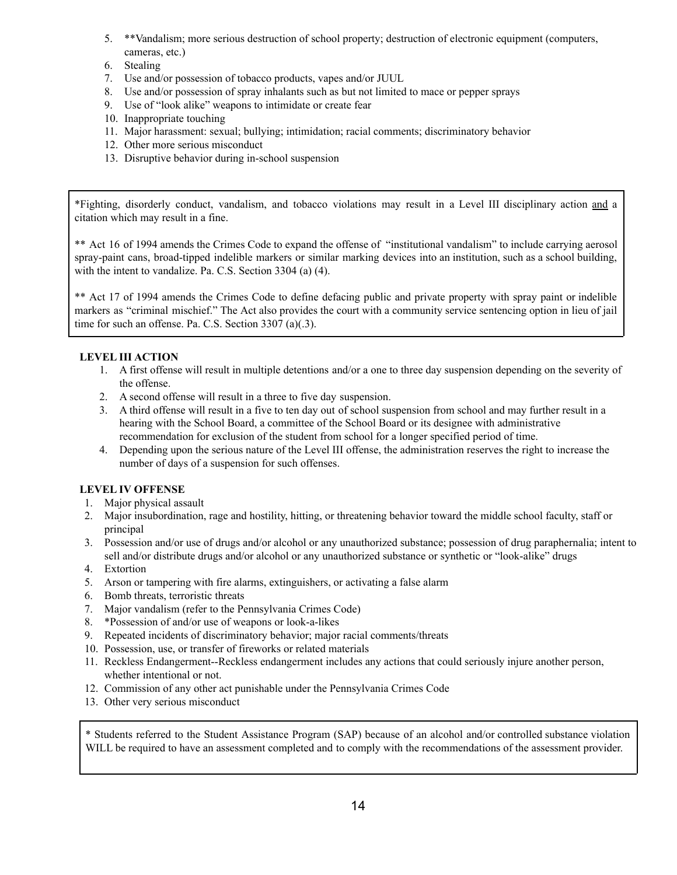- 5. \*\*Vandalism; more serious destruction of school property; destruction of electronic equipment (computers, cameras, etc.)
- 6. Stealing
- 7. Use and/or possession of tobacco products, vapes and/or JUUL
- 8. Use and/or possession of spray inhalants such as but not limited to mace or pepper sprays
- 9. Use of "look alike" weapons to intimidate or create fear
- 10. Inappropriate touching
- 11. Major harassment: sexual; bullying; intimidation; racial comments; discriminatory behavior
- 12. Other more serious misconduct
- 13. Disruptive behavior during in-school suspension

\*Fighting, disorderly conduct, vandalism, and tobacco violations may result in a Level III disciplinary action and a citation which may result in a fine.

\*\* Act 16 of 1994 amends the Crimes Code to expand the offense of "institutional vandalism" to include carrying aerosol spray-paint cans, broad-tipped indelible markers or similar marking devices into an institution, such as a school building, with the intent to vandalize. Pa. C.S. Section 3304 (a) (4).

\*\* Act 17 of 1994 amends the Crimes Code to define defacing public and private property with spray paint or indelible markers as "criminal mischief." The Act also provides the court with a community service sentencing option in lieu of jail time for such an offense. Pa. C.S. Section 3307 (a)(.3).

# **LEVEL III ACTION**

- 1. A first offense will result in multiple detentions and/or a one to three day suspension depending on the severity of the offense.
- 2. A second offense will result in a three to five day suspension.
- 3. A third offense will result in a five to ten day out of school suspension from school and may further result in a hearing with the School Board, a committee of the School Board or its designee with administrative recommendation for exclusion of the student from school for a longer specified period of time.
- 4. Depending upon the serious nature of the Level III offense, the administration reserves the right to increase the number of days of a suspension for such offenses.

#### **LEVEL IV OFFENSE**

- 1. Major physical assault
- 2. Major insubordination, rage and hostility, hitting, or threatening behavior toward the middle school faculty, staff or principal
- 3. Possession and/or use of drugs and/or alcohol or any unauthorized substance; possession of drug paraphernalia; intent to sell and/or distribute drugs and/or alcohol or any unauthorized substance or synthetic or "look-alike" drugs
- 4. Extortion
- 5. Arson or tampering with fire alarms, extinguishers, or activating a false alarm
- 6. Bomb threats, terroristic threats
- 7. Major vandalism (refer to the Pennsylvania Crimes Code)
- 8. \*Possession of and/or use of weapons or look-a-likes
- 9. Repeated incidents of discriminatory behavior; major racial comments/threats
- 10. Possession, use, or transfer of fireworks or related materials
- 11. Reckless Endangerment--Reckless endangerment includes any actions that could seriously injure another person, whether intentional or not.
- 12. Commission of any other act punishable under the Pennsylvania Crimes Code
- 13. Other very serious misconduct

\* Students referred to the Student Assistance Program (SAP) because of an alcohol and/or controlled substance violation WILL be required to have an assessment completed and to comply with the recommendations of the assessment provider.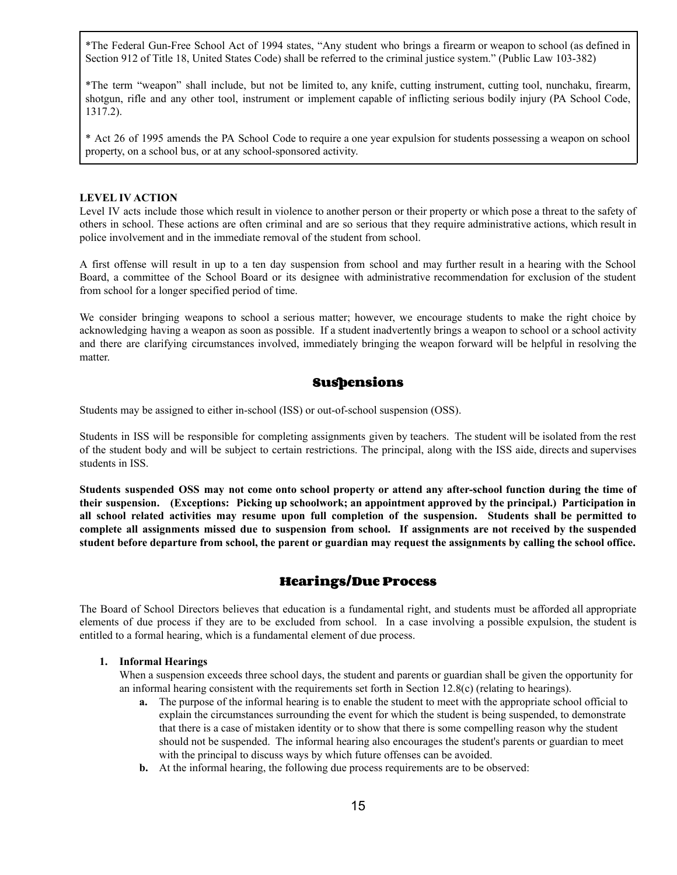\*The Federal Gun-Free School Act of 1994 states, "Any student who brings a firearm or weapon to school (as defined in Section 912 of Title 18, United States Code) shall be referred to the criminal justice system." (Public Law 103-382)

\*The term "weapon" shall include, but not be limited to, any knife, cutting instrument, cutting tool, nunchaku, firearm, shotgun, rifle and any other tool, instrument or implement capable of inflicting serious bodily injury (PA School Code, 1317.2).

\* Act 26 of 1995 amends the PA School Code to require a one year expulsion for students possessing a weapon on school property, on a school bus, or at any school-sponsored activity.

#### **LEVEL IV ACTION**

Level IV acts include those which result in violence to another person or their property or which pose a threat to the safety of others in school. These actions are often criminal and are so serious that they require administrative actions, which result in police involvement and in the immediate removal of the student from school.

A first offense will result in up to a ten day suspension from school and may further result in a hearing with the School Board, a committee of the School Board or its designee with administrative recommendation for exclusion of the student from school for a longer specified period of time.

We consider bringing weapons to school a serious matter; however, we encourage students to make the right choice by acknowledging having a weapon as soon as possible. If a student inadvertently brings a weapon to school or a school activity and there are clarifying circumstances involved, immediately bringing the weapon forward will be helpful in resolving the matter.

# **Suspensions**

Students may be assigned to either in-school (ISS) or out-of-school suspension (OSS).

Students in ISS will be responsible for completing assignments given by teachers. The student will be isolated from the rest of the student body and will be subject to certain restrictions. The principal, along with the ISS aide, directs and supervises students in ISS.

Students suspended OSS may not come onto school property or attend any after-school function during the time of **their suspension. (Exceptions: Picking up schoolwork; an appointment approved by the principal.) Participation in** all school related activities may resume upon full completion of the suspension. Students shall be permitted to complete all assignments missed due to suspension from school. If assignments are not received by the suspended student before departure from school, the parent or guardian may request the assignments by calling the school office.

# **Hearings/Due Process**

The Board of School Directors believes that education is a fundamental right, and students must be afforded all appropriate elements of due process if they are to be excluded from school. In a case involving a possible expulsion, the student is entitled to a formal hearing, which is a fundamental element of due process.

#### **1. Informal Hearings**

When a suspension exceeds three school days, the student and parents or guardian shall be given the opportunity for an informal hearing consistent with the requirements set forth in Section 12.8(c) (relating to hearings).

- **a.** The purpose of the informal hearing is to enable the student to meet with the appropriate school official to explain the circumstances surrounding the event for which the student is being suspended, to demonstrate that there is a case of mistaken identity or to show that there is some compelling reason why the student should not be suspended. The informal hearing also encourages the student's parents or guardian to meet with the principal to discuss ways by which future offenses can be avoided.
- **b.** At the informal hearing, the following due process requirements are to be observed: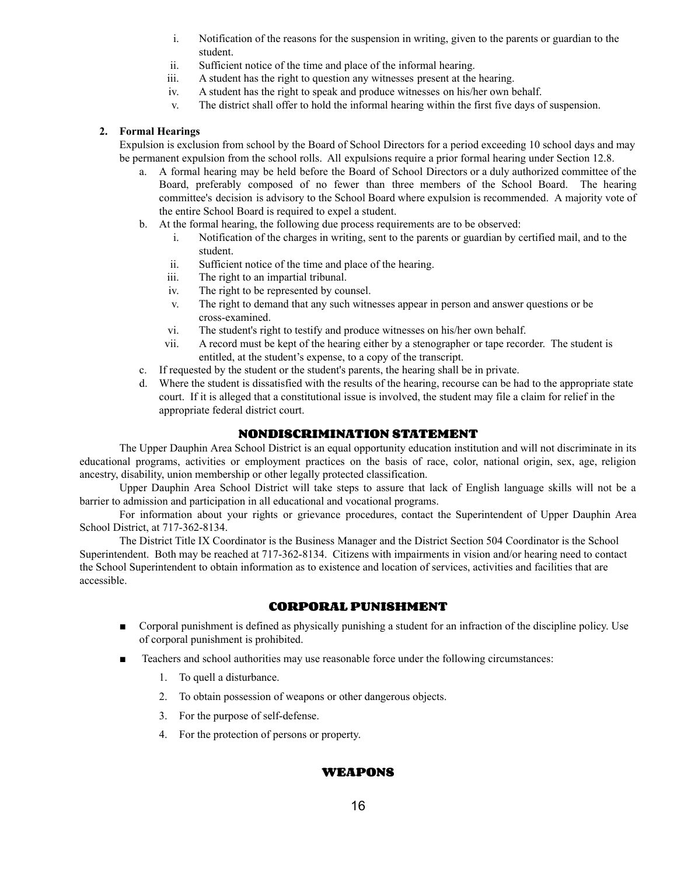- i. Notification of the reasons for the suspension in writing, given to the parents or guardian to the student.
- ii. Sufficient notice of the time and place of the informal hearing.
- iii. A student has the right to question any witnesses present at the hearing.
- iv. A student has the right to speak and produce witnesses on his/her own behalf.
- v. The district shall offer to hold the informal hearing within the first five days of suspension.

#### **2. Formal Hearings**

Expulsion is exclusion from school by the Board of School Directors for a period exceeding 10 school days and may be permanent expulsion from the school rolls. All expulsions require a prior formal hearing under Section 12.8.

- a. A formal hearing may be held before the Board of School Directors or a duly authorized committee of the Board, preferably composed of no fewer than three members of the School Board. The hearing committee's decision is advisory to the School Board where expulsion is recommended. A majority vote of the entire School Board is required to expel a student.
- b. At the formal hearing, the following due process requirements are to be observed:
	- i. Notification of the charges in writing, sent to the parents or guardian by certified mail, and to the student.
	- ii. Sufficient notice of the time and place of the hearing.
	- iii. The right to an impartial tribunal.
	- iv. The right to be represented by counsel.
	- v. The right to demand that any such witnesses appear in person and answer questions or be cross-examined.
	- vi. The student's right to testify and produce witnesses on his/her own behalf.
	- vii. A record must be kept of the hearing either by a stenographer or tape recorder. The student is entitled, at the student's expense, to a copy of the transcript.
- c. If requested by the student or the student's parents, the hearing shall be in private.
- d. Where the student is dissatisfied with the results of the hearing, recourse can be had to the appropriate state court. If it is alleged that a constitutional issue is involved, the student may file a claim for relief in the appropriate federal district court.

## **NONDISCRIMINATION STATEMENT**

The Upper Dauphin Area School District is an equal opportunity education institution and will not discriminate in its educational programs, activities or employment practices on the basis of race, color, national origin, sex, age, religion ancestry, disability, union membership or other legally protected classification.

Upper Dauphin Area School District will take steps to assure that lack of English language skills will not be a barrier to admission and participation in all educational and vocational programs.

For information about your rights or grievance procedures, contact the Superintendent of Upper Dauphin Area School District, at 717-362-8134.

The District Title IX Coordinator is the Business Manager and the District Section 504 Coordinator is the School Superintendent. Both may be reached at 717-362-8134. Citizens with impairments in vision and/or hearing need to contact the School Superintendent to obtain information as to existence and location of services, activities and facilities that are accessible.

# **CORPORAL PUNISHMENT**

- Corporal punishment is defined as physically punishing a student for an infraction of the discipline policy. Use of corporal punishment is prohibited.
- Teachers and school authorities may use reasonable force under the following circumstances:
	- 1. To quell a disturbance.
	- 2. To obtain possession of weapons or other dangerous objects.
	- 3. For the purpose of self-defense.
	- 4. For the protection of persons or property.

# **WEAPONS**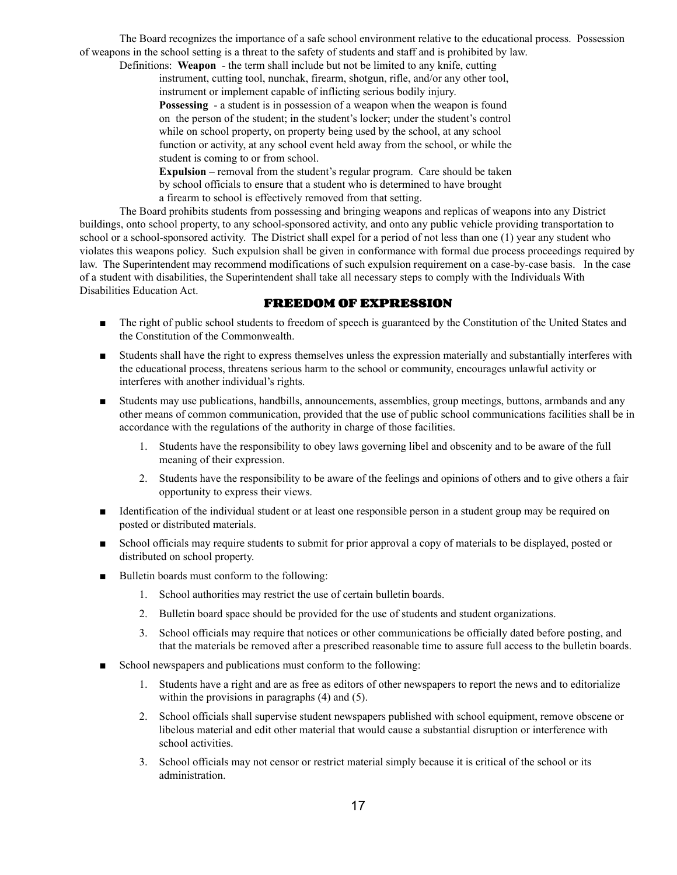The Board recognizes the importance of a safe school environment relative to the educational process. Possession of weapons in the school setting is a threat to the safety of students and staff and is prohibited by law.

Definitions: **Weapon** - the term shall include but not be limited to any knife, cutting instrument, cutting tool, nunchak, firearm, shotgun, rifle, and/or any other tool, instrument or implement capable of inflicting serious bodily injury.

**Possessing** - a student is in possession of a weapon when the weapon is found on the person of the student; in the student's locker; under the student's control while on school property, on property being used by the school, at any school function or activity, at any school event held away from the school, or while the student is coming to or from school.

**Expulsion** – removal from the student's regular program. Care should be taken by school officials to ensure that a student who is determined to have brought a firearm to school is effectively removed from that setting.

The Board prohibits students from possessing and bringing weapons and replicas of weapons into any District buildings, onto school property, to any school-sponsored activity, and onto any public vehicle providing transportation to school or a school-sponsored activity. The District shall expel for a period of not less than one (1) year any student who violates this weapons policy. Such expulsion shall be given in conformance with formal due process proceedings required by law. The Superintendent may recommend modifications of such expulsion requirement on a case-by-case basis. In the case of a student with disabilities, the Superintendent shall take all necessary steps to comply with the Individuals With Disabilities Education Act.

# **FREEDOM OF EXPRESSION**

- The right of public school students to freedom of speech is guaranteed by the Constitution of the United States and the Constitution of the Commonwealth.
- Students shall have the right to express themselves unless the expression materially and substantially interferes with the educational process, threatens serious harm to the school or community, encourages unlawful activity or interferes with another individual's rights.
- Students may use publications, handbills, announcements, assemblies, group meetings, buttons, armbands and any other means of common communication, provided that the use of public school communications facilities shall be in accordance with the regulations of the authority in charge of those facilities.
	- 1. Students have the responsibility to obey laws governing libel and obscenity and to be aware of the full meaning of their expression.
	- 2. Students have the responsibility to be aware of the feelings and opinions of others and to give others a fair opportunity to express their views.
- Identification of the individual student or at least one responsible person in a student group may be required on posted or distributed materials.
- School officials may require students to submit for prior approval a copy of materials to be displayed, posted or distributed on school property.
- Bulletin boards must conform to the following:
	- 1. School authorities may restrict the use of certain bulletin boards.
	- 2. Bulletin board space should be provided for the use of students and student organizations.
	- 3. School officials may require that notices or other communications be officially dated before posting, and that the materials be removed after a prescribed reasonable time to assure full access to the bulletin boards.
- School newspapers and publications must conform to the following:
	- 1. Students have a right and are as free as editors of other newspapers to report the news and to editorialize within the provisions in paragraphs (4) and (5).
	- 2. School officials shall supervise student newspapers published with school equipment, remove obscene or libelous material and edit other material that would cause a substantial disruption or interference with school activities.
	- 3. School officials may not censor or restrict material simply because it is critical of the school or its administration.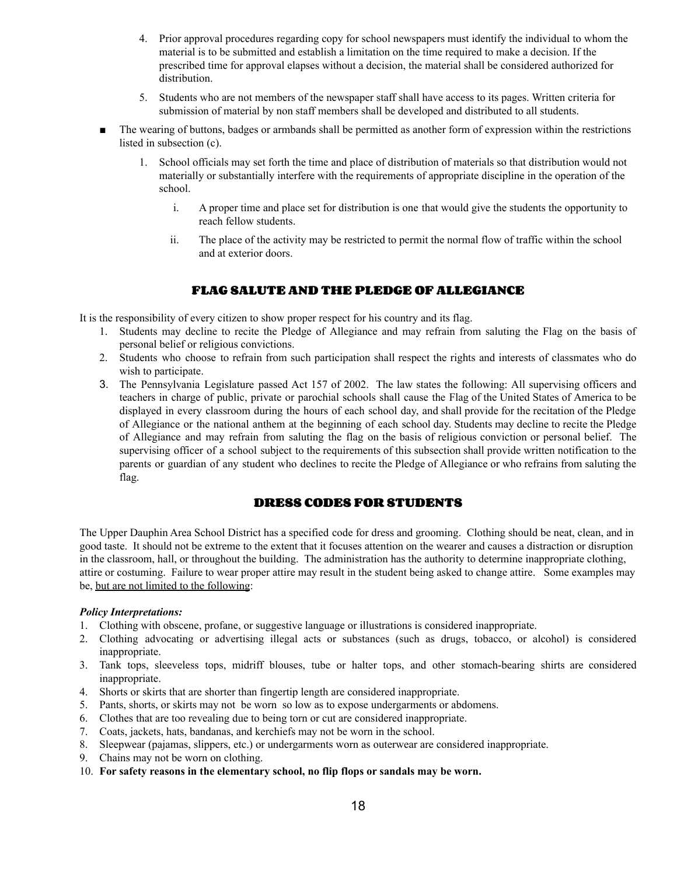- 4. Prior approval procedures regarding copy for school newspapers must identify the individual to whom the material is to be submitted and establish a limitation on the time required to make a decision. If the prescribed time for approval elapses without a decision, the material shall be considered authorized for distribution.
- 5. Students who are not members of the newspaper staff shall have access to its pages. Written criteria for submission of material by non staff members shall be developed and distributed to all students.
- The wearing of buttons, badges or armbands shall be permitted as another form of expression within the restrictions listed in subsection (c).
	- 1. School officials may set forth the time and place of distribution of materials so that distribution would not materially or substantially interfere with the requirements of appropriate discipline in the operation of the school.
		- i. A proper time and place set for distribution is one that would give the students the opportunity to reach fellow students.
		- ii. The place of the activity may be restricted to permit the normal flow of traffic within the school and at exterior doors.

# **FLAG SALUTE AND THE PLEDGE OF ALLEGIANCE**

It is the responsibility of every citizen to show proper respect for his country and its flag.

- 1. Students may decline to recite the Pledge of Allegiance and may refrain from saluting the Flag on the basis of personal belief or religious convictions.
- 2. Students who choose to refrain from such participation shall respect the rights and interests of classmates who do wish to participate.
- 3. The Pennsylvania Legislature passed Act 157 of 2002. The law states the following: All supervising officers and teachers in charge of public, private or parochial schools shall cause the Flag of the United States of America to be displayed in every classroom during the hours of each school day, and shall provide for the recitation of the Pledge of Allegiance or the national anthem at the beginning of each school day. Students may decline to recite the Pledge of Allegiance and may refrain from saluting the flag on the basis of religious conviction or personal belief. The supervising officer of a school subject to the requirements of this subsection shall provide written notification to the parents or guardian of any student who declines to recite the Pledge of Allegiance or who refrains from saluting the flag.

# **DRESS CODES FOR STUDENTS**

The Upper Dauphin Area School District has a specified code for dress and grooming. Clothing should be neat, clean, and in good taste. It should not be extreme to the extent that it focuses attention on the wearer and causes a distraction or disruption in the classroom, hall, or throughout the building. The administration has the authority to determine inappropriate clothing, attire or costuming. Failure to wear proper attire may result in the student being asked to change attire. Some examples may be, but are not limited to the following:

#### *Policy Interpretations:*

- 1. Clothing with obscene, profane, or suggestive language or illustrations is considered inappropriate.
- 2. Clothing advocating or advertising illegal acts or substances (such as drugs, tobacco, or alcohol) is considered inappropriate.
- 3. Tank tops, sleeveless tops, midriff blouses, tube or halter tops, and other stomach-bearing shirts are considered inappropriate.
- 4. Shorts or skirts that are shorter than fingertip length are considered inappropriate.
- 5. Pants, shorts, or skirts may not be worn so low as to expose undergarments or abdomens.
- 6. Clothes that are too revealing due to being torn or cut are considered inappropriate.
- 7. Coats, jackets, hats, bandanas, and kerchiefs may not be worn in the school.
- 8. Sleepwear (pajamas, slippers, etc.) or undergarments worn as outerwear are considered inappropriate.
- 9. Chains may not be worn on clothing.
- 10. **For safety reasons in the elementary school, no flip flops or sandals may be worn.**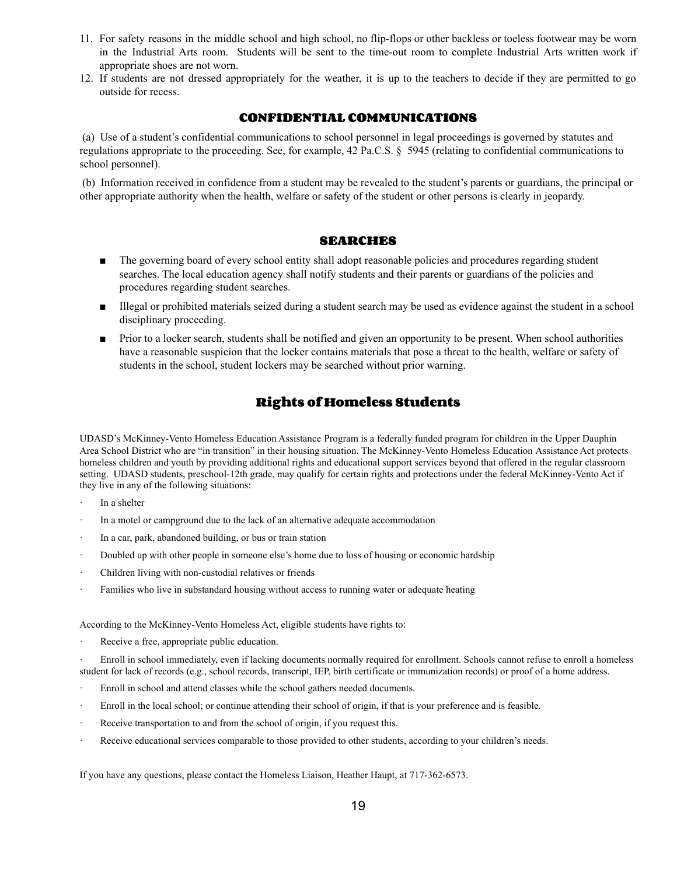- 11. For safety reasons in the middle school and high school, no flip-flops or other backless or toeless footwear may be worn in the Industrial Arts room. Students will be sent to the time-out room to complete Industrial Arts written work if appropriate shoes are not worn.
- 12. If students are not dressed appropriately for the weather, it is up to the teachers to decide if they are permitted to go outside for recess.

# **CONFIDENTIAL COMMUNICATIONS**

(a) Use of a student's confidential communications to school personnel in legal proceedings is governed by statutes and regulations appropriate to the proceeding. See, for example, 42 Pa.C.S. § 5945 (relating to confidential communications to school personnel).

(b) Information received in confidence from a student may be revealed to the student's parents or guardians, the principal or other appropriate authority when the health, welfare or safety of the student or other persons is clearly in jeopardy.

#### **SEARCHES**

- The governing board of every school entity shall adopt reasonable policies and procedures regarding student searches. The local education agency shall notify students and their parents or guardians of the policies and procedures regarding student searches.
- Illegal or prohibited materials seized during a student search may be used as evidence against the student in a school disciplinary proceeding.
- Prior to a locker search, students shall be notified and given an opportunity to be present. When school authorities have a reasonable suspicion that the locker contains materials that pose a threat to the health, welfare or safety of students in the school, student lockers may be searched without prior warning.

# **Rights of Homeless Students**

UDASD's McKinney-Vento Homeless Education Assistance Program is a federally funded program for children in the Upper Dauphin Area School District who are "in transition" in their housing situation. The McKinney-Vento Homeless Education Assistance Act protects homeless children and youth by providing additional rights and educational support services beyond that offered in the regular classroom setting. UDASD students, preschool-12th grade, may qualify for certain rights and protections under the federal McKinney-Vento Act if they live in any of the following situations:

- In a shelter
- In a motel or campground due to the lack of an alternative adequate accommodation
- In a car, park, abandoned building, or bus or train station
- · Doubled up with other people in someone else's home due to loss of housing or economic hardship
- Children living with non-custodial relatives or friends
- Families who live in substandard housing without access to running water or adequate heating

According to the McKinney-Vento Homeless Act, eligible students have rights to:

Receive a free, appropriate public education.

Enroll in school immediately, even if lacking documents normally required for enrollment. Schools cannot refuse to enroll a homeless student for lack of records (e.g., school records, transcript, IEP, birth certificate or immunization records) or proof of a home address.

- Enroll in school and attend classes while the school gathers needed documents.
- Enroll in the local school; or continue attending their school of origin, if that is your preference and is feasible.
- Receive transportation to and from the school of origin, if you request this.
- Receive educational services comparable to those provided to other students, according to your children's needs.

If you have any questions, please contact the Homeless Liaison, Heather Haupt, at 717-362-6573.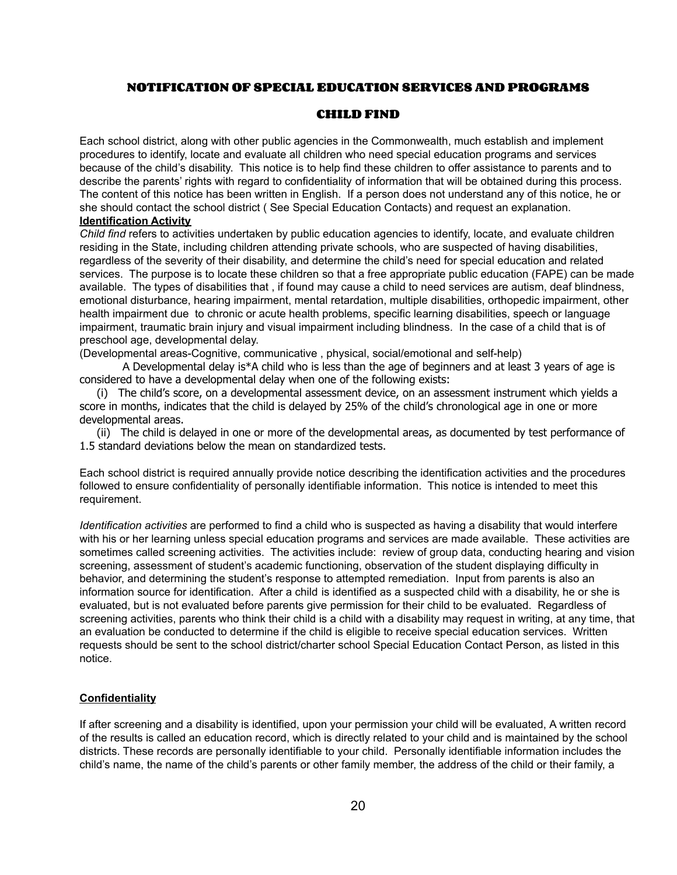# **NOTIFICATION OF SPECIAL EDUCATION SERVICES AND PROGRAMS**

#### **CHILD FIND**

Each school district, along with other public agencies in the Commonwealth, much establish and implement procedures to identify, locate and evaluate all children who need special education programs and services because of the child's disability. This notice is to help find these children to offer assistance to parents and to describe the parents' rights with regard to confidentiality of information that will be obtained during this process. The content of this notice has been written in English. If a person does not understand any of this notice, he or she should contact the school district ( See Special Education Contacts) and request an explanation. **Identification Activity**

*Child find* refers to activities undertaken by public education agencies to identify, locate, and evaluate children residing in the State, including children attending private schools, who are suspected of having disabilities, regardless of the severity of their disability, and determine the child's need for special education and related services. The purpose is to locate these children so that a free appropriate public education (FAPE) can be made available. The types of disabilities that , if found may cause a child to need services are autism, deaf blindness, emotional disturbance, hearing impairment, mental retardation, multiple disabilities, orthopedic impairment, other health impairment due to chronic or acute health problems, specific learning disabilities, speech or language impairment, traumatic brain injury and visual impairment including blindness. In the case of a child that is of preschool age, developmental delay.

(Developmental areas-Cognitive, communicative , physical, social/emotional and self-help)

A Developmental delay is\*A child who is less than the age of beginners and at least 3 years of age is considered to have a developmental delay when one of the following exists:

(i) The child's score, on a developmental assessment device, on an assessment instrument which yields a score in months, indicates that the child is delayed by 25% of the child's chronological age in one or more developmental areas.

(ii) The child is delayed in one or more of the developmental areas, as documented by test performance of 1.5 standard deviations below the mean on standardized tests.

Each school district is required annually provide notice describing the identification activities and the procedures followed to ensure confidentiality of personally identifiable information. This notice is intended to meet this requirement.

*Identification activities* are performed to find a child who is suspected as having a disability that would interfere with his or her learning unless special education programs and services are made available. These activities are sometimes called screening activities. The activities include: review of group data, conducting hearing and vision screening, assessment of student's academic functioning, observation of the student displaying difficulty in behavior, and determining the student's response to attempted remediation. Input from parents is also an information source for identification. After a child is identified as a suspected child with a disability, he or she is evaluated, but is not evaluated before parents give permission for their child to be evaluated. Regardless of screening activities, parents who think their child is a child with a disability may request in writing, at any time, that an evaluation be conducted to determine if the child is eligible to receive special education services. Written requests should be sent to the school district/charter school Special Education Contact Person, as listed in this notice.

#### **Confidentiality**

If after screening and a disability is identified, upon your permission your child will be evaluated, A written record of the results is called an education record, which is directly related to your child and is maintained by the school districts. These records are personally identifiable to your child. Personally identifiable information includes the child's name, the name of the child's parents or other family member, the address of the child or their family, a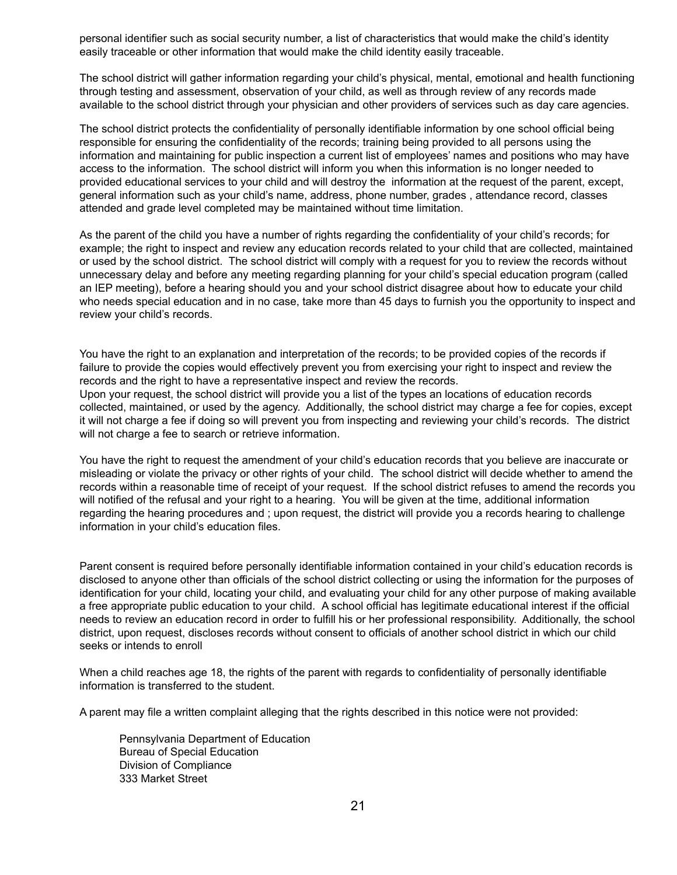personal identifier such as social security number, a list of characteristics that would make the child's identity easily traceable or other information that would make the child identity easily traceable.

The school district will gather information regarding your child's physical, mental, emotional and health functioning through testing and assessment, observation of your child, as well as through review of any records made available to the school district through your physician and other providers of services such as day care agencies.

The school district protects the confidentiality of personally identifiable information by one school official being responsible for ensuring the confidentiality of the records; training being provided to all persons using the information and maintaining for public inspection a current list of employees' names and positions who may have access to the information. The school district will inform you when this information is no longer needed to provided educational services to your child and will destroy the information at the request of the parent, except, general information such as your child's name, address, phone number, grades , attendance record, classes attended and grade level completed may be maintained without time limitation.

As the parent of the child you have a number of rights regarding the confidentiality of your child's records; for example; the right to inspect and review any education records related to your child that are collected, maintained or used by the school district. The school district will comply with a request for you to review the records without unnecessary delay and before any meeting regarding planning for your child's special education program (called an IEP meeting), before a hearing should you and your school district disagree about how to educate your child who needs special education and in no case, take more than 45 days to furnish you the opportunity to inspect and review your child's records.

You have the right to an explanation and interpretation of the records; to be provided copies of the records if failure to provide the copies would effectively prevent you from exercising your right to inspect and review the records and the right to have a representative inspect and review the records. Upon your request, the school district will provide you a list of the types an locations of education records collected, maintained, or used by the agency. Additionally, the school district may charge a fee for copies, except it will not charge a fee if doing so will prevent you from inspecting and reviewing your child's records. The district

You have the right to request the amendment of your child's education records that you believe are inaccurate or misleading or violate the privacy or other rights of your child. The school district will decide whether to amend the records within a reasonable time of receipt of your request. If the school district refuses to amend the records you will notified of the refusal and your right to a hearing. You will be given at the time, additional information regarding the hearing procedures and ; upon request, the district will provide you a records hearing to challenge information in your child's education files.

Parent consent is required before personally identifiable information contained in your child's education records is disclosed to anyone other than officials of the school district collecting or using the information for the purposes of identification for your child, locating your child, and evaluating your child for any other purpose of making available a free appropriate public education to your child. A school official has legitimate educational interest if the official needs to review an education record in order to fulfill his or her professional responsibility. Additionally, the school district, upon request, discloses records without consent to officials of another school district in which our child seeks or intends to enroll

When a child reaches age 18, the rights of the parent with regards to confidentiality of personally identifiable information is transferred to the student.

A parent may file a written complaint alleging that the rights described in this notice were not provided:

Pennsylvania Department of Education Bureau of Special Education Division of Compliance 333 Market Street

will not charge a fee to search or retrieve information.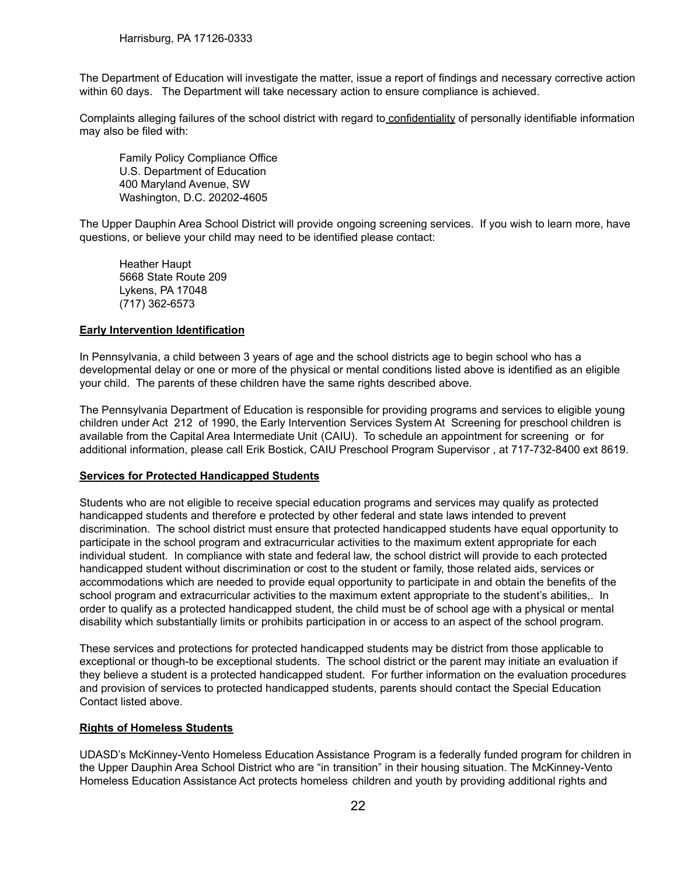The Department of Education will investigate the matter, issue a report of findings and necessary corrective action within 60 days. The Department will take necessary action to ensure compliance is achieved.

Complaints alleging failures of the school district with regard to confidentiality of personally identifiable information may also be filed with:

Family Policy Compliance Office U.S. Department of Education 400 Maryland Avenue, SW Washington, D.C. 20202-4605

The Upper Dauphin Area School District will provide ongoing screening services. If you wish to learn more, have questions, or believe your child may need to be identified please contact:

Heather Haupt 5668 State Route 209 Lykens, PA 17048 (717) 362-6573

#### **Early Intervention Identification**

In Pennsylvania, a child between 3 years of age and the school districts age to begin school who has a developmental delay or one or more of the physical or mental conditions listed above is identified as an eligible your child. The parents of these children have the same rights described above.

The Pennsylvania Department of Education is responsible for providing programs and services to eligible young children under Act 212 of 1990, the Early Intervention Services System At Screening for preschool children is available from the Capital Area Intermediate Unit (CAIU). To schedule an appointment for screening or for additional information, please call Erik Bostick, CAIU Preschool Program Supervisor , at 717-732-8400 ext 8619.

#### **Services for Protected Handicapped Students**

Students who are not eligible to receive special education programs and services may qualify as protected handicapped students and therefore e protected by other federal and state laws intended to prevent discrimination. The school district must ensure that protected handicapped students have equal opportunity to participate in the school program and extracurricular activities to the maximum extent appropriate for each individual student. In compliance with state and federal law, the school district will provide to each protected handicapped student without discrimination or cost to the student or family, those related aids, services or accommodations which are needed to provide equal opportunity to participate in and obtain the benefits of the school program and extracurricular activities to the maximum extent appropriate to the student's abilities,. In order to qualify as a protected handicapped student, the child must be of school age with a physical or mental disability which substantially limits or prohibits participation in or access to an aspect of the school program.

These services and protections for protected handicapped students may be district from those applicable to exceptional or though-to be exceptional students. The school district or the parent may initiate an evaluation if they believe a student is a protected handicapped student. For further information on the evaluation procedures and provision of services to protected handicapped students, parents should contact the Special Education Contact listed above.

#### **Rights of Homeless Students**

UDASD's McKinney-Vento Homeless Education Assistance Program is a federally funded program for children in the Upper Dauphin Area School District who are "in transition" in their housing situation. The McKinney-Vento Homeless Education Assistance Act protects homeless children and youth by providing additional rights and